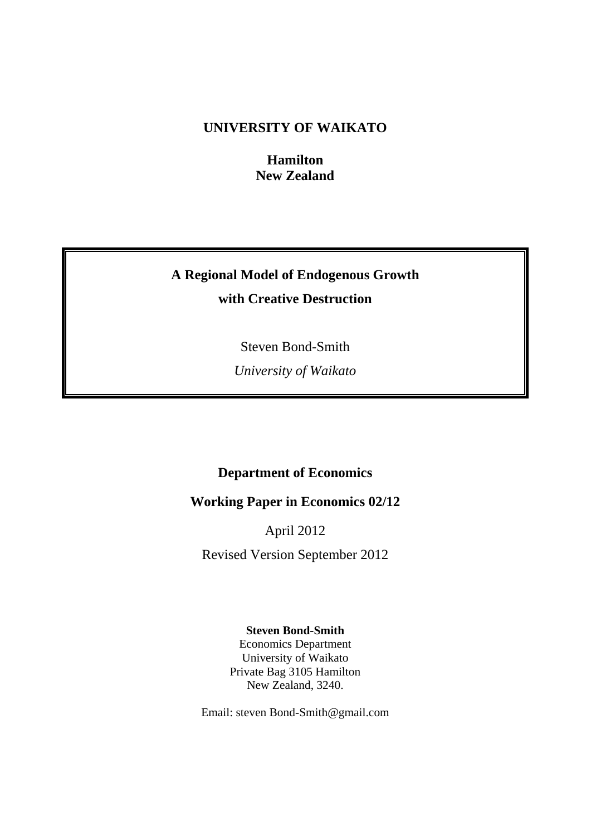# **UNIVERSITY OF WAIKATO**

**Hamilton New Zealand** 

# **A Regional Model of Endogenous Growth with Creative Destruction**

Steven Bond-Smith

*University of Waikato* 

# **Department of Economics**

# **Working Paper in Economics 02/12**

April 2012

Revised Version September 2012

## **Steven Bond-Smith**

Economics Department University of Waikato Private Bag 3105 Hamilton New Zealand, 3240.

Email: steven Bond-Smith@gmail.com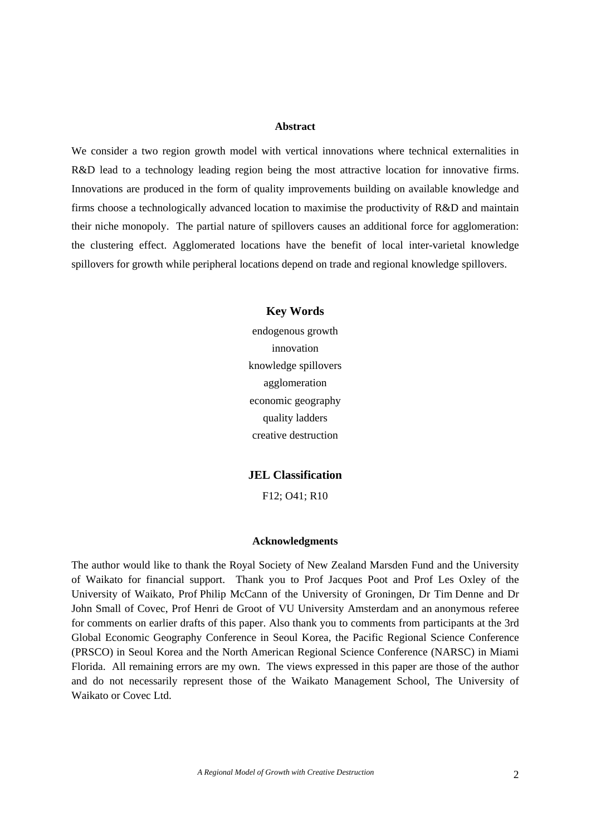## **Abstract**

We consider a two region growth model with vertical innovations where technical externalities in R&D lead to a technology leading region being the most attractive location for innovative firms. Innovations are produced in the form of quality improvements building on available knowledge and firms choose a technologically advanced location to maximise the productivity of R&D and maintain their niche monopoly. The partial nature of spillovers causes an additional force for agglomeration: the clustering effect. Agglomerated locations have the benefit of local inter-varietal knowledge spillovers for growth while peripheral locations depend on trade and regional knowledge spillovers.

> **Key Words**  endogenous growth innovation knowledge spillovers agglomeration economic geography quality ladders creative destruction

> **JEL Classification**

F12; O41; R10

## **Acknowledgments**

The author would like to thank the Royal Society of New Zealand Marsden Fund and the University of Waikato for financial support. Thank you to Prof Jacques Poot and Prof Les Oxley of the University of Waikato, Prof Philip McCann of the University of Groningen, Dr Tim Denne and Dr John Small of Covec, Prof Henri de Groot of VU University Amsterdam and an anonymous referee for comments on earlier drafts of this paper. Also thank you to comments from participants at the 3rd Global Economic Geography Conference in Seoul Korea, the Pacific Regional Science Conference (PRSCO) in Seoul Korea and the North American Regional Science Conference (NARSC) in Miami Florida. All remaining errors are my own. The views expressed in this paper are those of the author and do not necessarily represent those of the Waikato Management School, The University of Waikato or Covec Ltd.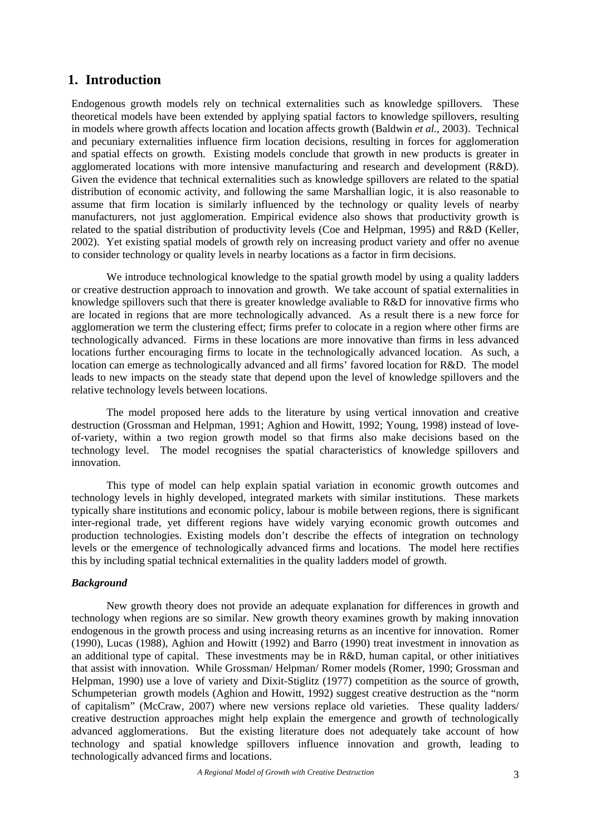## **1. Introduction**

Endogenous growth models rely on technical externalities such as knowledge spillovers. These theoretical models have been extended by applying spatial factors to knowledge spillovers, resulting in models where growth affects location and location affects growth (Baldwin *et al.*, 2003). Technical and pecuniary externalities influence firm location decisions, resulting in forces for agglomeration and spatial effects on growth. Existing models conclude that growth in new products is greater in agglomerated locations with more intensive manufacturing and research and development (R&D). Given the evidence that technical externalities such as knowledge spillovers are related to the spatial distribution of economic activity, and following the same Marshallian logic, it is also reasonable to assume that firm location is similarly influenced by the technology or quality levels of nearby manufacturers, not just agglomeration. Empirical evidence also shows that productivity growth is related to the spatial distribution of productivity levels (Coe and Helpman, 1995) and R&D (Keller, 2002). Yet existing spatial models of growth rely on increasing product variety and offer no avenue to consider technology or quality levels in nearby locations as a factor in firm decisions.

We introduce technological knowledge to the spatial growth model by using a quality ladders or creative destruction approach to innovation and growth. We take account of spatial externalities in knowledge spillovers such that there is greater knowledge avaliable to R&D for innovative firms who are located in regions that are more technologically advanced. As a result there is a new force for agglomeration we term the clustering effect; firms prefer to colocate in a region where other firms are technologically advanced. Firms in these locations are more innovative than firms in less advanced locations further encouraging firms to locate in the technologically advanced location. As such, a location can emerge as technologically advanced and all firms' favored location for R&D. The model leads to new impacts on the steady state that depend upon the level of knowledge spillovers and the relative technology levels between locations.

The model proposed here adds to the literature by using vertical innovation and creative destruction (Grossman and Helpman, 1991; Aghion and Howitt, 1992; Young, 1998) instead of loveof-variety, within a two region growth model so that firms also make decisions based on the technology level. The model recognises the spatial characteristics of knowledge spillovers and innovation.

This type of model can help explain spatial variation in economic growth outcomes and technology levels in highly developed, integrated markets with similar institutions. These markets typically share institutions and economic policy, labour is mobile between regions, there is significant inter-regional trade, yet different regions have widely varying economic growth outcomes and production technologies. Existing models don't describe the effects of integration on technology levels or the emergence of technologically advanced firms and locations. The model here rectifies this by including spatial technical externalities in the quality ladders model of growth.

## *Background*

New growth theory does not provide an adequate explanation for differences in growth and technology when regions are so similar. New growth theory examines growth by making innovation endogenous in the growth process and using increasing returns as an incentive for innovation. Romer (1990), Lucas (1988), Aghion and Howitt (1992) and Barro (1990) treat investment in innovation as an additional type of capital. These investments may be in R&D, human capital, or other initiatives that assist with innovation. While Grossman/ Helpman/ Romer models (Romer, 1990; Grossman and Helpman, 1990) use a love of variety and Dixit-Stiglitz (1977) competition as the source of growth, Schumpeterian growth models (Aghion and Howitt, 1992) suggest creative destruction as the "norm of capitalism" (McCraw, 2007) where new versions replace old varieties. These quality ladders/ creative destruction approaches might help explain the emergence and growth of technologically advanced agglomerations. But the existing literature does not adequately take account of how technology and spatial knowledge spillovers influence innovation and growth, leading to technologically advanced firms and locations.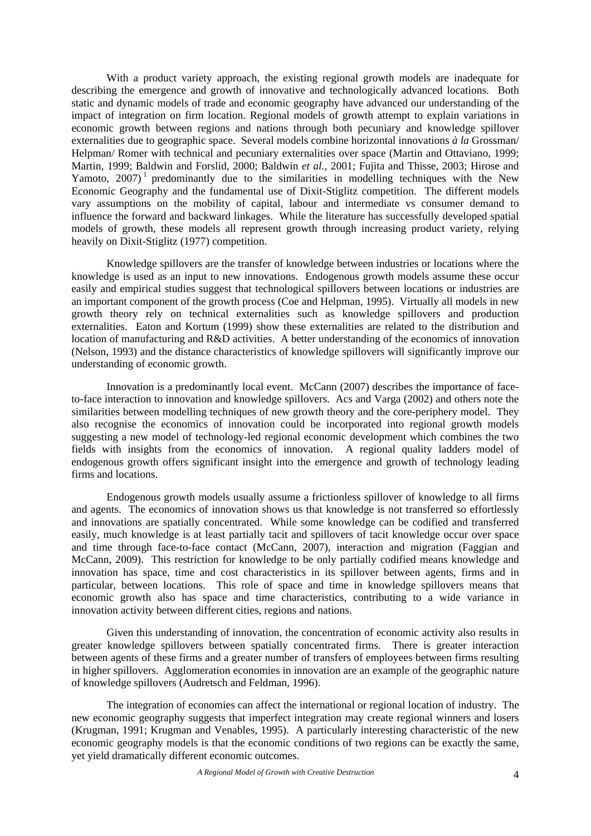With a product variety approach, the existing regional growth models are inadequate for describing the emergence and growth of innovative and technologically advanced locations. Both static and dynamic models of trade and economic geography have advanced our understanding of the impact of integration on firm location. Regional models of growth attempt to explain variations in economic growth between regions and nations through both pecuniary and knowledge spillover externalities due to geographic space. Several models combine horizontal innovations *à la* Grossman/ Helpman/ Romer with technical and pecuniary externalities over space (Martin and Ottaviano, 1999; Martin, 1999; Baldwin and Forslid, 2000; Baldwin *et al.*, 2001; Fujita and Thisse, 2003; Hirose and Yamoto,  $2007$ <sup>1</sup> predominantly due to the similarities in modelling techniques with the New Economic Geography and the fundamental use of Dixit-Stiglitz competition. The different models vary assumptions on the mobility of capital, labour and intermediate vs consumer demand to influence the forward and backward linkages. While the literature has successfully developed spatial models of growth, these models all represent growth through increasing product variety, relying heavily on Dixit-Stiglitz (1977) competition.

Knowledge spillovers are the transfer of knowledge between industries or locations where the knowledge is used as an input to new innovations. Endogenous growth models assume these occur easily and empirical studies suggest that technological spillovers between locations or industries are an important component of the growth process (Coe and Helpman, 1995). Virtually all models in new growth theory rely on technical externalities such as knowledge spillovers and production externalities. Eaton and Kortum (1999) show these externalities are related to the distribution and location of manufacturing and R&D activities. A better understanding of the economics of innovation (Nelson, 1993) and the distance characteristics of knowledge spillovers will significantly improve our understanding of economic growth.

Innovation is a predominantly local event. McCann (2007) describes the importance of faceto-face interaction to innovation and knowledge spillovers. Acs and Varga (2002) and others note the similarities between modelling techniques of new growth theory and the core-periphery model. They also recognise the economics of innovation could be incorporated into regional growth models suggesting a new model of technology-led regional economic development which combines the two fields with insights from the economics of innovation. A regional quality ladders model of endogenous growth offers significant insight into the emergence and growth of technology leading firms and locations.

Endogenous growth models usually assume a frictionless spillover of knowledge to all firms and agents. The economics of innovation shows us that knowledge is not transferred so effortlessly and innovations are spatially concentrated. While some knowledge can be codified and transferred easily, much knowledge is at least partially tacit and spillovers of tacit knowledge occur over space and time through face-to-face contact (McCann, 2007), interaction and migration (Faggian and McCann, 2009). This restriction for knowledge to be only partially codified means knowledge and innovation has space, time and cost characteristics in its spillover between agents, firms and in particular, between locations. This role of space and time in knowledge spillovers means that economic growth also has space and time characteristics, contributing to a wide variance in innovation activity between different cities, regions and nations.

Given this understanding of innovation, the concentration of economic activity also results in greater knowledge spillovers between spatially concentrated firms. There is greater interaction between agents of these firms and a greater number of transfers of employees between firms resulting in higher spillovers. Agglomeration economies in innovation are an example of the geographic nature of knowledge spillovers (Audretsch and Feldman, 1996).

The integration of economies can affect the international or regional location of industry. The new economic geography suggests that imperfect integration may create regional winners and losers (Krugman, 1991; Krugman and Venables, 1995). A particularly interesting characteristic of the new economic geography models is that the economic conditions of two regions can be exactly the same, yet yield dramatically different economic outcomes.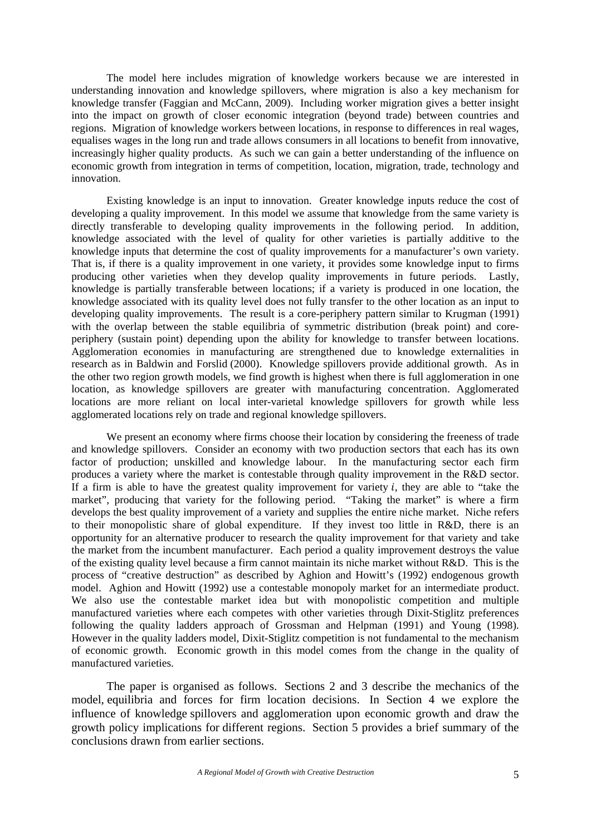The model here includes migration of knowledge workers because we are interested in understanding innovation and knowledge spillovers, where migration is also a key mechanism for knowledge transfer (Faggian and McCann, 2009). Including worker migration gives a better insight into the impact on growth of closer economic integration (beyond trade) between countries and regions. Migration of knowledge workers between locations, in response to differences in real wages, equalises wages in the long run and trade allows consumers in all locations to benefit from innovative, increasingly higher quality products. As such we can gain a better understanding of the influence on economic growth from integration in terms of competition, location, migration, trade, technology and innovation.

Existing knowledge is an input to innovation. Greater knowledge inputs reduce the cost of developing a quality improvement. In this model we assume that knowledge from the same variety is directly transferable to developing quality improvements in the following period. In addition, knowledge associated with the level of quality for other varieties is partially additive to the knowledge inputs that determine the cost of quality improvements for a manufacturer's own variety. That is, if there is a quality improvement in one variety, it provides some knowledge input to firms producing other varieties when they develop quality improvements in future periods. Lastly, knowledge is partially transferable between locations; if a variety is produced in one location, the knowledge associated with its quality level does not fully transfer to the other location as an input to developing quality improvements. The result is a core-periphery pattern similar to Krugman (1991) with the overlap between the stable equilibria of symmetric distribution (break point) and coreperiphery (sustain point) depending upon the ability for knowledge to transfer between locations. Agglomeration economies in manufacturing are strengthened due to knowledge externalities in research as in Baldwin and Forslid (2000). Knowledge spillovers provide additional growth. As in the other two region growth models, we find growth is highest when there is full agglomeration in one location, as knowledge spillovers are greater with manufacturing concentration. Agglomerated locations are more reliant on local inter-varietal knowledge spillovers for growth while less agglomerated locations rely on trade and regional knowledge spillovers.

We present an economy where firms choose their location by considering the freeness of trade and knowledge spillovers. Consider an economy with two production sectors that each has its own factor of production; unskilled and knowledge labour. In the manufacturing sector each firm produces a variety where the market is contestable through quality improvement in the R&D sector. If a firm is able to have the greatest quality improvement for variety  $i$ , they are able to "take the market", producing that variety for the following period. "Taking the market" is where a firm develops the best quality improvement of a variety and supplies the entire niche market. Niche refers to their monopolistic share of global expenditure. If they invest too little in R&D, there is an opportunity for an alternative producer to research the quality improvement for that variety and take the market from the incumbent manufacturer. Each period a quality improvement destroys the value of the existing quality level because a firm cannot maintain its niche market without R&D. This is the process of "creative destruction" as described by Aghion and Howitt's (1992) endogenous growth model. Aghion and Howitt (1992) use a contestable monopoly market for an intermediate product. We also use the contestable market idea but with monopolistic competition and multiple manufactured varieties where each competes with other varieties through Dixit-Stiglitz preferences following the quality ladders approach of Grossman and Helpman (1991) and Young (1998). However in the quality ladders model, Dixit-Stiglitz competition is not fundamental to the mechanism of economic growth. Economic growth in this model comes from the change in the quality of manufactured varieties.

The paper is organised as follows. Sections 2 and 3 describe the mechanics of the model, equilibria and forces for firm location decisions. In Section 4 we explore the influence of knowledge spillovers and agglomeration upon economic growth and draw the growth policy implications for different regions. Section 5 provides a brief summary of the conclusions drawn from earlier sections.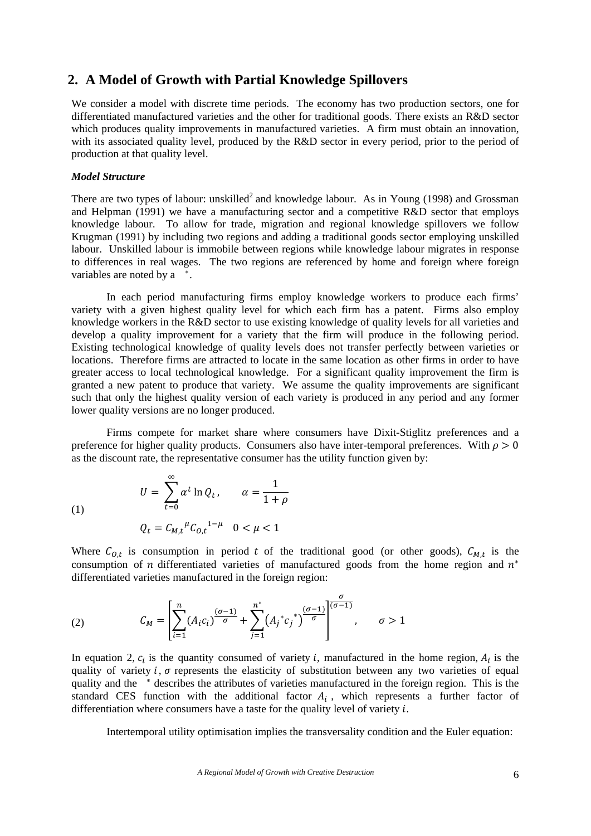## **2. A Model of Growth with Partial Knowledge Spillovers**

We consider a model with discrete time periods. The economy has two production sectors, one for differentiated manufactured varieties and the other for traditional goods. There exists an R&D sector which produces quality improvements in manufactured varieties. A firm must obtain an innovation, with its associated quality level, produced by the R&D sector in every period, prior to the period of production at that quality level.

## *Model Structure*

There are two types of labour: unskilled<sup>2</sup> and knowledge labour. As in Young (1998) and Grossman and Helpman (1991) we have a manufacturing sector and a competitive R&D sector that employs knowledge labour. To allow for trade, migration and regional knowledge spillovers we follow Krugman (1991) by including two regions and adding a traditional goods sector employing unskilled labour. Unskilled labour is immobile between regions while knowledge labour migrates in response to differences in real wages. The two regions are referenced by home and foreign where foreign variables are noted by a  $*$ .

In each period manufacturing firms employ knowledge workers to produce each firms' variety with a given highest quality level for which each firm has a patent. Firms also employ knowledge workers in the R&D sector to use existing knowledge of quality levels for all varieties and develop a quality improvement for a variety that the firm will produce in the following period. Existing technological knowledge of quality levels does not transfer perfectly between varieties or locations. Therefore firms are attracted to locate in the same location as other firms in order to have greater access to local technological knowledge. For a significant quality improvement the firm is granted a new patent to produce that variety. We assume the quality improvements are significant such that only the highest quality version of each variety is produced in any period and any former lower quality versions are no longer produced.

Firms compete for market share where consumers have Dixit-Stiglitz preferences and a preference for higher quality products. Consumers also have inter-temporal preferences. With  $\rho > 0$ as the discount rate, the representative consumer has the utility function given by:

(1)  

$$
U = \sum_{t=0}^{\infty} \alpha^t \ln Q_t, \qquad \alpha = \frac{1}{1+\rho}
$$

$$
Q_t = C_{M,t}{}^{\mu} C_{0,t}{}^{1-\mu} \quad 0 < \mu < 1
$$

Where  $C_{0,t}$  is consumption in period t of the traditional good (or other goods),  $C_{M,t}$  is the consumption of *n* differentiated varieties of manufactured goods from the home region and  $n^*$ differentiated varieties manufactured in the foreign region:

(2) 
$$
C_M = \left[\sum_{i=1}^n (A_i c_i)^{\frac{(\sigma-1)}{\sigma}} + \sum_{j=1}^{n^*} (A_j^* c_j^*)^{\frac{(\sigma-1)}{\sigma}}\right]^{\frac{\sigma}{(\sigma-1)}}, \quad \sigma > 1
$$

In equation 2,  $c_i$  is the quantity consumed of variety i, manufactured in the home region,  $A_i$  is the quality of variety  $i$ ,  $\sigma$  represents the elasticity of substitution between any two varieties of equal quality and the \* describes the attributes of varieties manufactured in the foreign region. This is the standard CES function with the additional factor  $A_i$ , which represents a further factor of differentiation where consumers have a taste for the quality level of variety  $i$ .

Intertemporal utility optimisation implies the transversality condition and the Euler equation: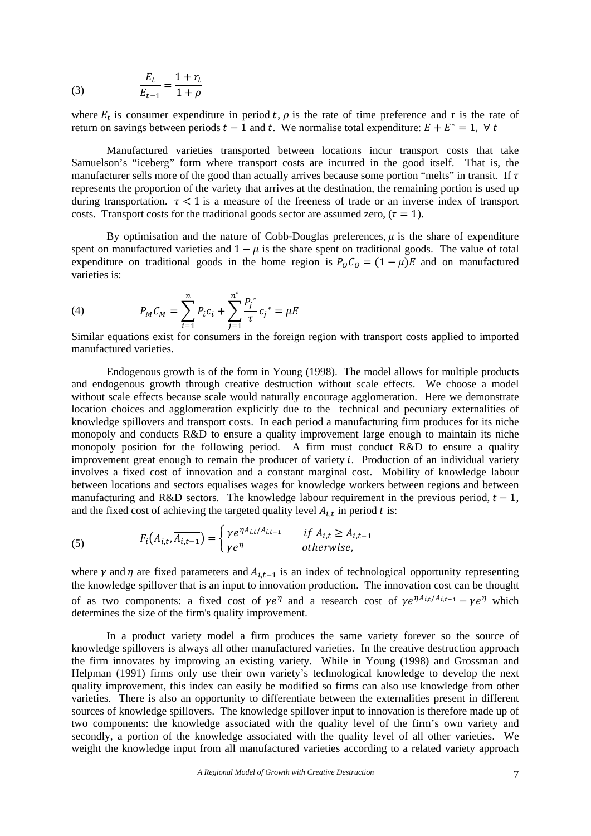(3) 
$$
\frac{E_t}{E_{t-1}} = \frac{1 + r_t}{1 + \rho}
$$

where  $E_t$  is consumer expenditure in period t,  $\rho$  is the rate of time preference and r is the rate of return on savings between periods  $t-1$  and t. We normalise total expenditure:  $E + E^* = 1$ ,  $\forall t$ 

Manufactured varieties transported between locations incur transport costs that take Samuelson's "iceberg" form where transport costs are incurred in the good itself. That is, the manufacturer sells more of the good than actually arrives because some portion "melts" in transit. If  $\tau$ represents the proportion of the variety that arrives at the destination, the remaining portion is used up during transportation.  $\tau < 1$  is a measure of the freeness of trade or an inverse index of transport costs. Transport costs for the traditional goods sector are assumed zero, ( $\tau = 1$ ).

By optimisation and the nature of Cobb-Douglas preferences,  $\mu$  is the share of expenditure spent on manufactured varieties and  $1 - \mu$  is the share spent on traditional goods. The value of total expenditure on traditional goods in the home region is  $P_0 C_0 = (1 - \mu)E$  and on manufactured varieties is:

(4) 
$$
P_M C_M = \sum_{i=1}^n P_i c_i + \sum_{j=1}^{n^*} \frac{P_j^*}{\tau} c_j^* = \mu E
$$

Similar equations exist for consumers in the foreign region with transport costs applied to imported manufactured varieties.

Endogenous growth is of the form in Young (1998). The model allows for multiple products and endogenous growth through creative destruction without scale effects. We choose a model without scale effects because scale would naturally encourage agglomeration. Here we demonstrate location choices and agglomeration explicitly due to the technical and pecuniary externalities of knowledge spillovers and transport costs. In each period a manufacturing firm produces for its niche monopoly and conducts R&D to ensure a quality improvement large enough to maintain its niche monopoly position for the following period. A firm must conduct R&D to ensure a quality improvement great enough to remain the producer of variety  $i$ . Production of an individual variety involves a fixed cost of innovation and a constant marginal cost. Mobility of knowledge labour between locations and sectors equalises wages for knowledge workers between regions and between manufacturing and R&D sectors. The knowledge labour requirement in the previous period,  $t - 1$ , and the fixed cost of achieving the targeted quality level  $A_{i,t}$  in period t is:

(5) 
$$
F_i(A_{i,t}, \overline{A_{i,t-1}}) = \begin{cases} \gamma e^{\eta A_{i,t} / \overline{A_{i,t-1}}} & \text{if } A_{i,t} \geq \overline{A_{i,t-1}} \\ \gamma e^{\eta} & \text{otherwise,} \end{cases}
$$

where  $\gamma$  and  $\eta$  are fixed parameters and  $\overline{A_{i,t-1}}$  is an index of technological opportunity representing the knowledge spillover that is an input to innovation production. The innovation cost can be thought of as two components: a fixed cost of  $\gamma e^{\eta}$  and a research cost of  $\gamma e^{\eta A_{i,t}/A_{i,t-1}} - \gamma e^{\eta}$  which determines the size of the firm's quality improvement.

In a product variety model a firm produces the same variety forever so the source of knowledge spillovers is always all other manufactured varieties. In the creative destruction approach the firm innovates by improving an existing variety. While in Young (1998) and Grossman and Helpman (1991) firms only use their own variety's technological knowledge to develop the next quality improvement, this index can easily be modified so firms can also use knowledge from other varieties. There is also an opportunity to differentiate between the externalities present in different sources of knowledge spillovers. The knowledge spillover input to innovation is therefore made up of two components: the knowledge associated with the quality level of the firm's own variety and secondly, a portion of the knowledge associated with the quality level of all other varieties. We weight the knowledge input from all manufactured varieties according to a related variety approach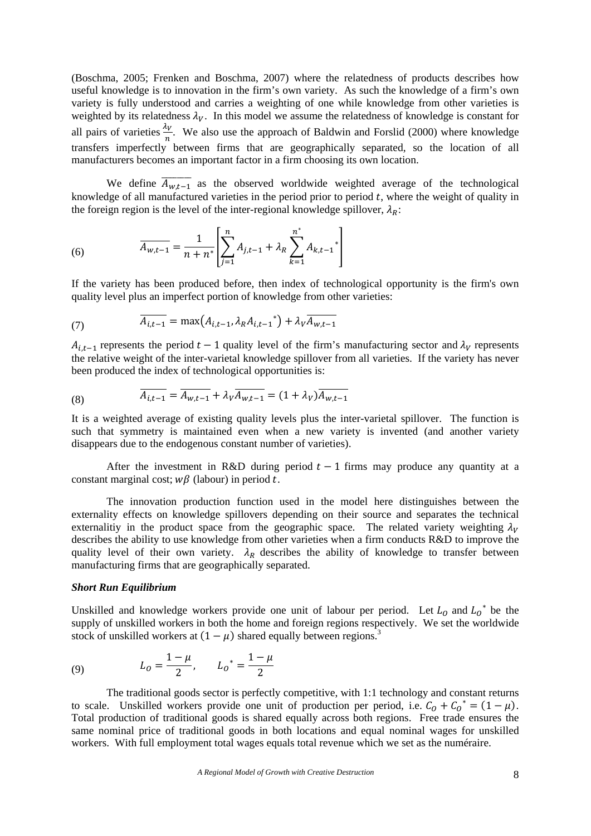(Boschma, 2005; Frenken and Boschma, 2007) where the relatedness of products describes how useful knowledge is to innovation in the firm's own variety. As such the knowledge of a firm's own variety is fully understood and carries a weighting of one while knowledge from other varieties is weighted by its relatedness  $\lambda_V$ . In this model we assume the relatedness of knowledge is constant for all pairs of varieties  $\frac{\lambda v}{n}$ . We also use the approach of Baldwin and Forslid (2000) where knowledge transfers imperfectly between firms that are geographically separated, so the location of all manufacturers becomes an important factor in a firm choosing its own location.

We define  $\overline{A_{w,t-1}}$  as the observed worldwide weighted average of the technological knowledge of all manufactured varieties in the period prior to period  $t$ , where the weight of quality in the foreign region is the level of the inter-regional knowledge spillover,  $\lambda_R$ :

(6) 
$$
\overline{A_{w,t-1}} = \frac{1}{n+n^*} \left[ \sum_{j=1}^n A_{j,t-1} + \lambda_R \sum_{k=1}^{n^*} A_{k,t-1}^* \right]
$$

If the variety has been produced before, then index of technological opportunity is the firm's own quality level plus an imperfect portion of knowledge from other varieties:

(7) 
$$
\overline{A_{i,t-1}} = \max(A_{i,t-1}, \lambda_R A_{i,t-1}^*) + \lambda_V \overline{A_{w,t-1}}
$$

 $A_{i,t-1}$  represents the period  $t-1$  quality level of the firm's manufacturing sector and  $\lambda_V$  represents the relative weight of the inter-varietal knowledge spillover from all varieties. If the variety has never been produced the index of technological opportunities is:

(8) 
$$
\overline{A_{i,t-1}} = \overline{A_{w,t-1}} + \lambda_V \overline{A_{w,t-1}} = (1 + \lambda_V) \overline{A_{w,t-1}}
$$

It is a weighted average of existing quality levels plus the inter-varietal spillover. The function is such that symmetry is maintained even when a new variety is invented (and another variety disappears due to the endogenous constant number of varieties).

After the investment in R&D during period  $t-1$  firms may produce any quantity at a constant marginal cost;  $w\beta$  (labour) in period t.

The innovation production function used in the model here distinguishes between the externality effects on knowledge spillovers depending on their source and separates the technical externalitiy in the product space from the geographic space. The related variety weighting  $\lambda_V$ describes the ability to use knowledge from other varieties when a firm conducts R&D to improve the quality level of their own variety.  $\lambda_R$  describes the ability of knowledge to transfer between manufacturing firms that are geographically separated.

#### *Short Run Equilibrium*

Unskilled and knowledge workers provide one unit of labour per period. Let  $L_0$  and  $L_0^*$  be the supply of unskilled workers in both the home and foreign regions respectively. We set the worldwide stock of unskilled workers at  $(1 - \mu)$  shared equally between regions.<sup>3</sup>

(9) 
$$
L_0 = \frac{1 - \mu}{2}, \qquad L_0^* = \frac{1 - \mu}{2}
$$

The traditional goods sector is perfectly competitive, with 1:1 technology and constant returns to scale. Unskilled workers provide one unit of production per period, i.e.  $C_0 + C_0^* = (1 - \mu)$ . Total production of traditional goods is shared equally across both regions. Free trade ensures the same nominal price of traditional goods in both locations and equal nominal wages for unskilled workers. With full employment total wages equals total revenue which we set as the numéraire.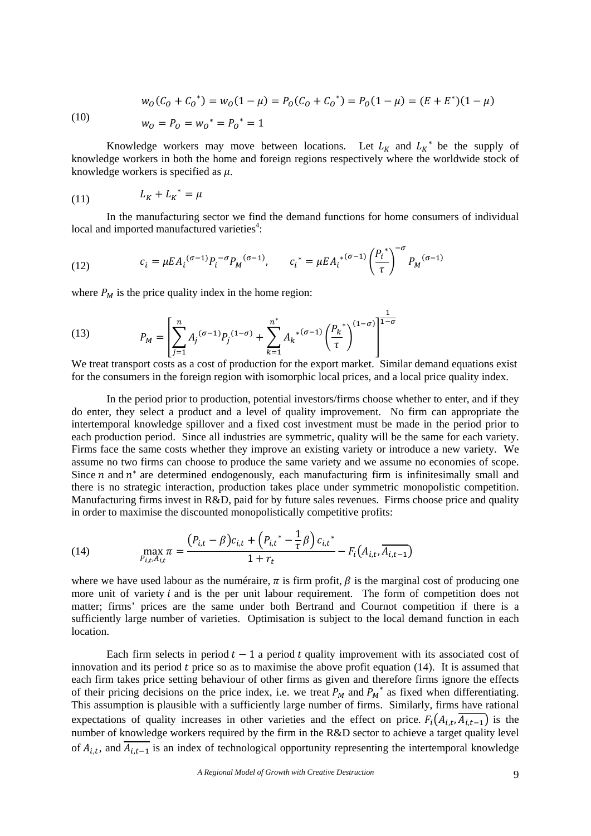$$
w_O(C_O + C_O^*) = w_O(1 - \mu) = P_O(C_O + C_O^*) = P_O(1 - \mu) = (E + E^*)(1 - \mu)
$$

(10)

$$
w_0 = P_0 = w_0^* = P_0^* = 1
$$

Knowledge workers may move between locations. Let  $L_K$  and  $L_K^*$  be the supply of knowledge workers in both the home and foreign regions respectively where the worldwide stock of knowledge workers is specified as  $\mu$ .

$$
(11) \qquad \qquad L_K + L_K^* = \mu
$$

In the manufacturing sector we find the demand functions for home consumers of individual local and imported manufactured varieties<sup>4</sup>:

(12) 
$$
c_i = \mu E A_i^{(\sigma - 1)} P_i^{-\sigma} P_M^{(\sigma - 1)}, \qquad c_i^* = \mu E A_i^{*(\sigma - 1)} \left(\frac{P_i}{\tau}\right)^{-\sigma} P_M^{(\sigma - 1)}
$$

where  $P_M$  is the price quality index in the home region:

(13) 
$$
P_M = \left[\sum_{j=1}^n A_j^{(\sigma-1)} P_j^{(1-\sigma)} + \sum_{k=1}^{n^*} A_k^{*(\sigma-1)} \left(\frac{P_k}{\tau}\right)^{(1-\sigma)}\right]^{\frac{1}{1-\sigma}}
$$

We treat transport costs as a cost of production for the export market. Similar demand equations exist for the consumers in the foreign region with isomorphic local prices, and a local price quality index.

In the period prior to production, potential investors/firms choose whether to enter, and if they do enter, they select a product and a level of quality improvement. No firm can appropriate the intertemporal knowledge spillover and a fixed cost investment must be made in the period prior to each production period. Since all industries are symmetric, quality will be the same for each variety. Firms face the same costs whether they improve an existing variety or introduce a new variety. We assume no two firms can choose to produce the same variety and we assume no economies of scope. Since  $n$  and  $n^*$  are determined endogenously, each manufacturing firm is infinitesimally small and there is no strategic interaction, production takes place under symmetric monopolistic competition. Manufacturing firms invest in R&D, paid for by future sales revenues. Firms choose price and quality in order to maximise the discounted monopolistically competitive profits:

(14) 
$$
\max_{P_{i,t}, A_{i,t}} \pi = \frac{(P_{i,t} - \beta)c_{i,t} + (P_{i,t}^* - \frac{1}{\tau}\beta)c_{i,t}^*}{1 + r_t} - F_i(A_{i,t}, \overline{A_{i,t-1}})
$$

where we have used labour as the numéraire,  $\pi$  is firm profit,  $\beta$  is the marginal cost of producing one more unit of variety  $i$  and is the per unit labour requirement. The form of competition does not matter; firms' prices are the same under both Bertrand and Cournot competition if there is a sufficiently large number of varieties. Optimisation is subject to the local demand function in each location.

Each firm selects in period  $t-1$  a period t quality improvement with its associated cost of innovation and its period  $t$  price so as to maximise the above profit equation (14). It is assumed that each firm takes price setting behaviour of other firms as given and therefore firms ignore the effects of their pricing decisions on the price index, i.e. we treat  $P_M$  and  $P_M^*$  as fixed when differentiating. This assumption is plausible with a sufficiently large number of firms. Similarly, firms have rational expectations of quality increases in other varieties and the effect on price.  $F_i(A_{i,t}, \overline{A_{i,t-1}})$  is the number of knowledge workers required by the firm in the R&D sector to achieve a target quality level of  $A_{i,t}$ , and  $\overline{A_{i,t-1}}$  is an index of technological opportunity representing the intertemporal knowledge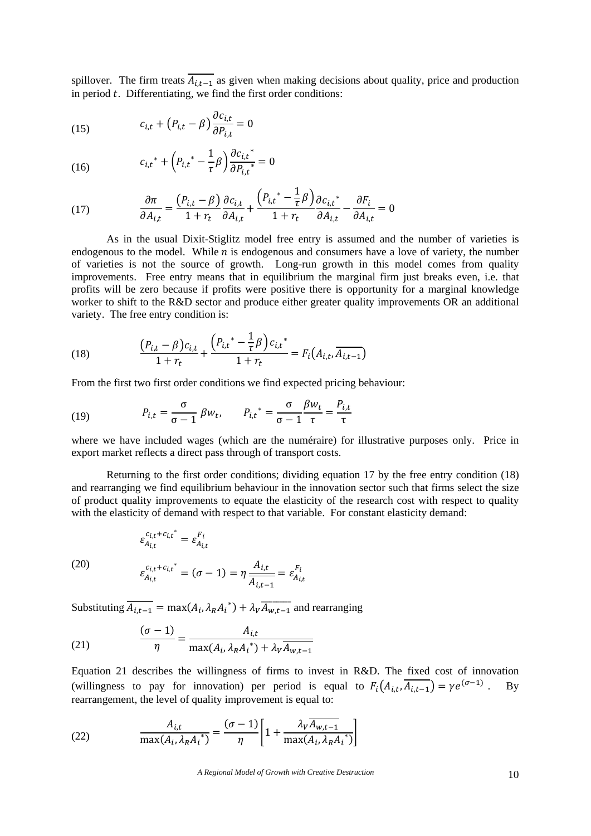spillover. The firm treats  $\overline{A_{i,t-1}}$  as given when making decisions about quality, price and production in period  $t$ . Differentiating, we find the first order conditions:

(15) 
$$
c_{i,t} + (P_{i,t} - \beta) \frac{\partial c_{i,t}}{\partial P_{i,t}} = 0
$$

(16) 
$$
c_{i,t}^* + \left(P_{i,t}^* - \frac{1}{\tau}\beta\right)\frac{\partial c_{i,t}^*}{\partial P_{i,t}^*} = 0
$$

(17) 
$$
\frac{\partial \pi}{\partial A_{i,t}} = \frac{(P_{i,t} - \beta)}{1 + r_t} \frac{\partial c_{i,t}}{\partial A_{i,t}} + \frac{(P_{i,t}^* - \frac{1}{\tau}\beta)}{1 + r_t} \frac{\partial c_{i,t}^*}{\partial A_{i,t}} - \frac{\partial F_i}{\partial A_{i,t}} = 0
$$

As in the usual Dixit-Stiglitz model free entry is assumed and the number of varieties is endogenous to the model. While  $n$  is endogenous and consumers have a love of variety, the number of varieties is not the source of growth. Long-run growth in this model comes from quality improvements. Free entry means that in equilibrium the marginal firm just breaks even, i.e. that profits will be zero because if profits were positive there is opportunity for a marginal knowledge worker to shift to the R&D sector and produce either greater quality improvements OR an additional variety. The free entry condition is:

(18) 
$$
\frac{\left(P_{i,t} - \beta\right)c_{i,t}}{1 + r_t} + \frac{\left(P_{i,t}^* - \frac{1}{\tau}\beta\right)c_{i,t}^*}{1 + r_t} = F_i\left(A_{i,t}, \overline{A_{i,t-1}}\right)
$$

From the first two first order conditions we find expected pricing behaviour:

(19) 
$$
P_{i,t} = \frac{\sigma}{\sigma - 1} \beta w_t, \qquad P_{i,t}^* = \frac{\sigma}{\sigma - 1} \frac{\beta w_t}{\tau} = \frac{P_{i,t}}{\tau}
$$

where we have included wages (which are the numéraire) for illustrative purposes only. Price in export market reflects a direct pass through of transport costs.

Returning to the first order conditions; dividing equation 17 by the free entry condition (18) and rearranging we find equilibrium behaviour in the innovation sector such that firms select the size of product quality improvements to equate the elasticity of the research cost with respect to quality with the elasticity of demand with respect to that variable. For constant elasticity demand:

$$
\varepsilon_{A_{i,t}}^{c_{i,t}+c_{i,t}^*} = \varepsilon_{A_{i,t}}^{F_i}
$$

(20)

20) 
$$
\varepsilon_{A_{i,t}}^{c_{i,t}+c_{i,t}^{*}} = (\sigma - 1) = \eta \frac{A_{i,t}}{A_{i,t-1}} = \varepsilon_{A_{i,t}}^{F_i}
$$

Substituting  $\overline{A_{i,t-1}} = \max(A_i, \lambda_R A_i^*) + \lambda_V \overline{A_{w,t-1}}$  and rearranging

(21) 
$$
\frac{(\sigma - 1)}{\eta} = \frac{A_{i,t}}{\max(A_i, \lambda_R A_i^*) + \lambda_V A_{w,t-1}}
$$

Equation 21 describes the willingness of firms to invest in R&D. The fixed cost of innovation (willingness to pay for innovation) per period is equal to  $F_i(A_{i,t}, \overline{A_{i,t-1}}) = \gamma e^{(\sigma-1)}$ . By rearrangement, the level of quality improvement is equal to:

(22) 
$$
\frac{A_{i,t}}{\max(A_i, \lambda_R A_i^*)} = \frac{(\sigma - 1)}{\eta} \left[ 1 + \frac{\lambda_V \overline{A_{w,t-1}}}{\max(A_i, \lambda_R A_i^*)} \right]
$$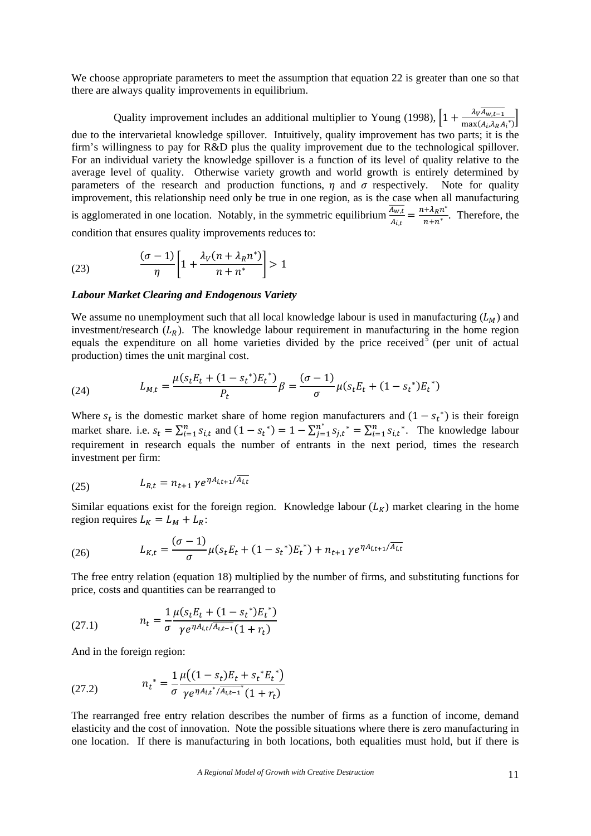We choose appropriate parameters to meet the assumption that equation 22 is greater than one so that there are always quality improvements in equilibrium.

Quality improvement includes an additional multiplier to Young (1998),  $\left[1+\frac{\lambda_V \overline{A_{w,t-1}}}{\max(A_t, \lambda_R A_t)^*}\right]$ due to the intervarietal knowledge spillover. Intuitively, quality improvement has two parts; it is the firm's willingness to pay for R&D plus the quality improvement due to the technological spillover. For an individual variety the knowledge spillover is a function of its level of quality relative to the average level of quality. Otherwise variety growth and world growth is entirely determined by parameters of the research and production functions,  $\eta$  and  $\sigma$  respectively. Note for quality improvement, this relationship need only be true in one region, as is the case when all manufacturing is agglomerated in one location. Notably, in the symmetric equilibrium  $\frac{\overline{A_{w,t}}}{A_{i,t}} = \frac{n + \lambda_R n^*}{n + n^*}$ . Therefore, the condition that ensures quality improvements reduces to:

(23) 
$$
\frac{(\sigma - 1)}{\eta} \left[ 1 + \frac{\lambda_V (n + \lambda_R n^*)}{n + n^*} \right] > 1
$$

#### *Labour Market Clearing and Endogenous Variety*

We assume no unemployment such that all local knowledge labour is used in manufacturing  $(L_M)$  and investment/research  $(L_R)$ . The knowledge labour requirement in manufacturing in the home region equals the expenditure on all home varieties divided by the price received  $\bar{5}$  (per unit of actual production) times the unit marginal cost.

(24) 
$$
L_{M,t} = \frac{\mu(s_t E_t + (1 - s_t^*) E_t^*)}{P_t} \beta = \frac{(\sigma - 1)}{\sigma} \mu(s_t E_t + (1 - s_t^*) E_t^*)
$$

Where  $s_t$  is the domestic market share of home region manufacturers and  $(1 - s_t^*)$  is their foreign market share. i.e.  $s_t = \sum_{i=1}^n s_{i,t}$  and  $(1 - s_t^*) = 1 - \sum_{j=1}^{n^*} s_{j,t}^* = \sum_{i=1}^n s_{i,t}^*$ . The knowledge labour requirement in research equals the number of entrants in the next period, times the research investment per firm:

(25) 
$$
L_{R,t} = n_{t+1} \gamma e^{\eta A_{i,t+1} / \overline{A_{i,t}}}
$$

Similar equations exist for the foreign region. Knowledge labour  $(L_K)$  market clearing in the home region requires  $L_K = L_M + L_R$ :

(26) 
$$
L_{K,t} = \frac{(\sigma - 1)}{\sigma} \mu (s_t E_t + (1 - s_t^*) E_t^*) + n_{t+1} \gamma e^{\eta A_{i,t+1}/A_{i,t}}
$$

The free entry relation (equation 18) multiplied by the number of firms, and substituting functions for price, costs and quantities can be rearranged to

(27.1) 
$$
n_t = \frac{1}{\sigma} \frac{\mu(s_t E_t + (1 - s_t^*) E_t^*)}{\gamma e^{\eta A_{i,t}/A_{i,t-1}} (1 + r_t)}
$$

And in the foreign region:

(27.2) 
$$
n_t^* = \frac{1}{\sigma} \frac{\mu((1 - s_t)E_t + s_t^* E_t^*)}{\gamma e^{\eta A_{i,t}^*/A_{i,t-1}^*}(1 + r_t)}
$$

The rearranged free entry relation describes the number of firms as a function of income, demand elasticity and the cost of innovation. Note the possible situations where there is zero manufacturing in one location. If there is manufacturing in both locations, both equalities must hold, but if there is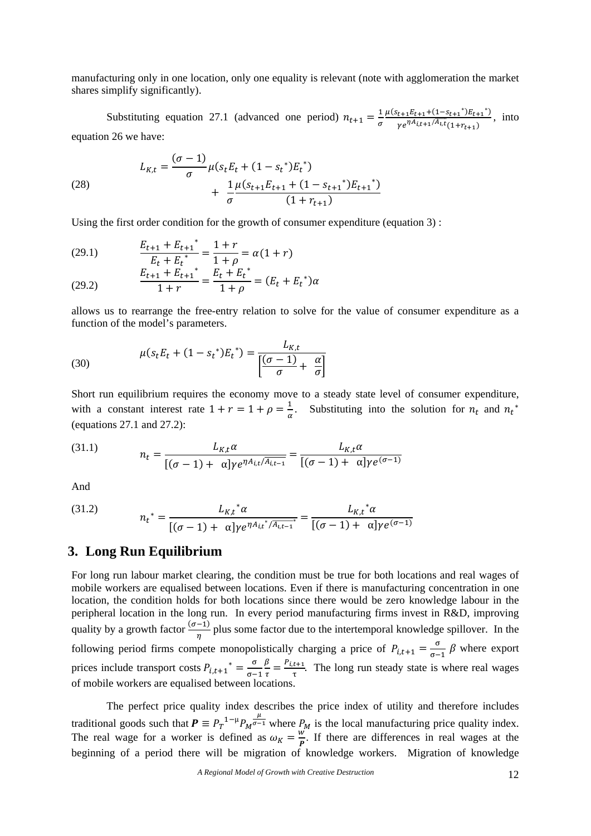manufacturing only in one location, only one equality is relevant (note with agglomeration the market shares simplify significantly).

Substituting equation 27.1 (advanced one period)  $n_{t+1} = \frac{1}{\sigma}$  $\mu(s_{t+1}E_{t+1}+(1-s_{t+1}^*)E_{t+1}^*)$  $\frac{t+1}{t+1}$  $\frac{t+1}{t+1}$   $\frac{t+1}{t+1}$ , into  $\frac{t+1}{t+1}$ , into equation 26 we have:

(28) 
$$
L_{K,t} = \frac{(\sigma - 1)}{\sigma} \mu (s_t E_t + (1 - s_t^*) E_t^*) + \frac{1}{\sigma} \frac{\mu (s_{t+1} E_{t+1} + (1 - s_{t+1}^*) E_{t+1}^*)}{(1 + r_{t+1})}
$$

Using the first order condition for the growth of consumer expenditure (equation 3) :

(29.1) 
$$
\frac{E_{t+1} + E_{t+1}^*}{E_t + E_t^*} = \frac{1+r}{1+\rho} = \alpha(1+r)
$$

(29.2) 
$$
\frac{E_{t+1} + E_{t+1}^{*}}{1+r} = \frac{E_t + E_t^{*}}{1+\rho} = (E_t + E_t^{*})\alpha
$$

allows us to rearrange the free-entry relation to solve for the value of consumer expenditure as a function of the model's parameters.

(30) 
$$
\mu(s_t E_t + (1 - s_t^*) E_t^*) = \frac{L_{K,t}}{\left[\frac{(\sigma - 1)}{\sigma} + \frac{\alpha}{\sigma}\right]}
$$

Short run equilibrium requires the economy move to a steady state level of consumer expenditure, with a constant interest rate  $1 + r = 1 + \rho = \frac{1}{\alpha}$ . Substituting into the solution for  $n_t$  and  $n_t^*$ (equations 27.1 and 27.2):

(31.1) 
$$
n_{t} = \frac{L_{K,t} \alpha}{[(\sigma - 1) + \alpha] \gamma e^{\eta A_{i,t} / \overline{A_{i,t-1}}}} = \frac{L_{K,t} \alpha}{[(\sigma - 1) + \alpha] \gamma e^{(\sigma - 1)}}
$$

And

(31.2) 
$$
n_t^* = \frac{L_{K,t}^* \alpha}{[(\sigma - 1) + \alpha]\gamma e^{\eta A_{i,t}^* / A_{i,t-1}^*}} = \frac{L_{K,t}^* \alpha}{[(\sigma - 1) + \alpha]\gamma e^{(\sigma - 1)}}
$$

## **3. Long Run Equilibrium**

For long run labour market clearing, the condition must be true for both locations and real wages of mobile workers are equalised between locations. Even if there is manufacturing concentration in one location, the condition holds for both locations since there would be zero knowledge labour in the peripheral location in the long run. In every period manufacturing firms invest in R&D, improving quality by a growth factor  $\frac{(\sigma-1)}{\eta}$  plus some factor due to the intertemporal knowledge spillover. In the following period firms compete monopolistically charging a price of  $P_{i,t+1} = \frac{\sigma}{\sigma-1} \beta$  where export prices include transport costs  $P_{i,t+1}^* = \frac{\sigma}{\sigma-1}$  $\frac{\beta}{\tau} = \frac{P_{i,t+1}}{\tau}$ . The long run steady state is where real wages of mobile workers are equalised between locations.

The perfect price quality index describes the price index of utility and therefore includes traditional goods such that  $P = P_T^{-1-\mu} P_M^{\frac{\mu}{\sigma-1}}$  where  $P_M$  is the local manufacturing price quality index. The real wage for a worker is defined as  $\omega_K = \frac{w^2}{R}$ . If there are differences in real wages at the beginning of a period there will be migration of knowledge workers. Migration of knowledge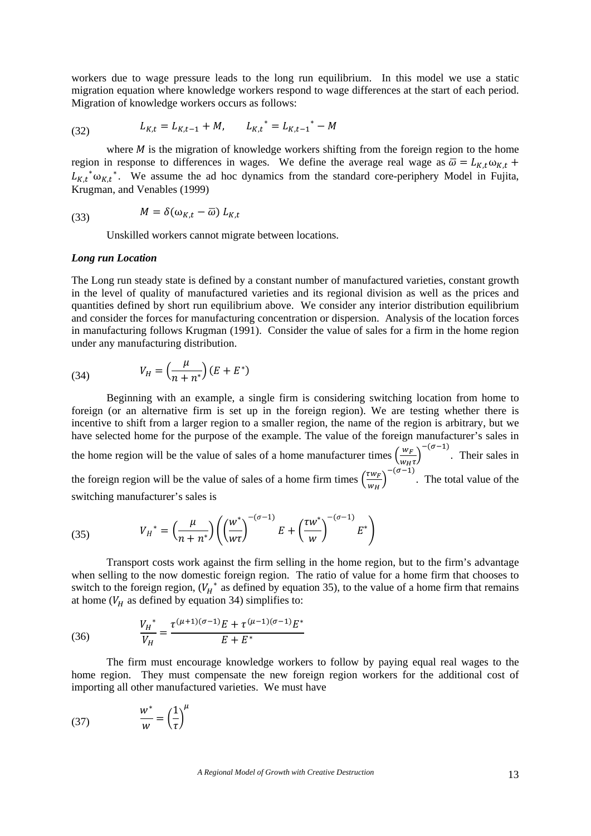workers due to wage pressure leads to the long run equilibrium. In this model we use a static migration equation where knowledge workers respond to wage differences at the start of each period. Migration of knowledge workers occurs as follows:

(32) 
$$
L_{K,t} = L_{K,t-1} + M, \qquad L_{K,t}^* = L_{K,t-1}^* - M
$$

where  $M$  is the migration of knowledge workers shifting from the foreign region to the home region in response to differences in wages. We define the average real wage as  $\overline{\omega} = L_{K,t} \omega_{K,t}$  +  $L_{K,t}$ <sup>\*</sup> $\omega_{K,t}$ <sup>\*</sup>. We assume the ad hoc dynamics from the standard core-periphery Model in Fujita, Krugman, and Venables (1999)

(33) 
$$
M = \delta(\omega_{K,t} - \overline{\omega}) L_{K,t}
$$

Unskilled workers cannot migrate between locations.

#### *Long run Location*

The Long run steady state is defined by a constant number of manufactured varieties, constant growth in the level of quality of manufactured varieties and its regional division as well as the prices and quantities defined by short run equilibrium above. We consider any interior distribution equilibrium and consider the forces for manufacturing concentration or dispersion. Analysis of the location forces in manufacturing follows Krugman (1991). Consider the value of sales for a firm in the home region under any manufacturing distribution.

(34) 
$$
V_H = \left(\frac{\mu}{n+n^*}\right)(E+E^*)
$$

Beginning with an example, a single firm is considering switching location from home to foreign (or an alternative firm is set up in the foreign region). We are testing whether there is incentive to shift from a larger region to a smaller region, the name of the region is arbitrary, but we have selected home for the purpose of the example. The value of the foreign manufacturer's sales in the home region will be the value of sales of a home manufacturer times  $\left(\frac{w_F}{w_H\tau}\right)^{-(\sigma-1)}$ . Their sales in the foreign region will be the value of sales of a home firm times  $\left(\frac{rw_F}{r}\right)$  $\frac{I(\mathbf{w}_F)}{W_H}$  ( $\sigma$ –1). The total value of the switching manufacturer's sales is

(35) 
$$
V_H^* = \left(\frac{\mu}{n+n^*}\right) \left( \left(\frac{w^*}{w\tau}\right)^{-(\sigma-1)} E + \left(\frac{\tau w^*}{w}\right)^{-(\sigma-1)} E^* \right)
$$

Transport costs work against the firm selling in the home region, but to the firm's advantage when selling to the now domestic foreign region. The ratio of value for a home firm that chooses to switch to the foreign region,  $(V_H^*$  as defined by equation 35), to the value of a home firm that remains at home ( $V_H$  as defined by equation 34) simplifies to:

(36) 
$$
\frac{V_H^*}{V_H} = \frac{\tau^{(\mu+1)(\sigma-1)}E + \tau^{(\mu-1)(\sigma-1)}E^*}{E + E^*}
$$

The firm must encourage knowledge workers to follow by paying equal real wages to the home region. They must compensate the new foreign region workers for the additional cost of importing all other manufactured varieties. We must have

$$
(37) \qquad \qquad \frac{w^*}{w} = \left(\frac{1}{\tau}\right)^{\mu}
$$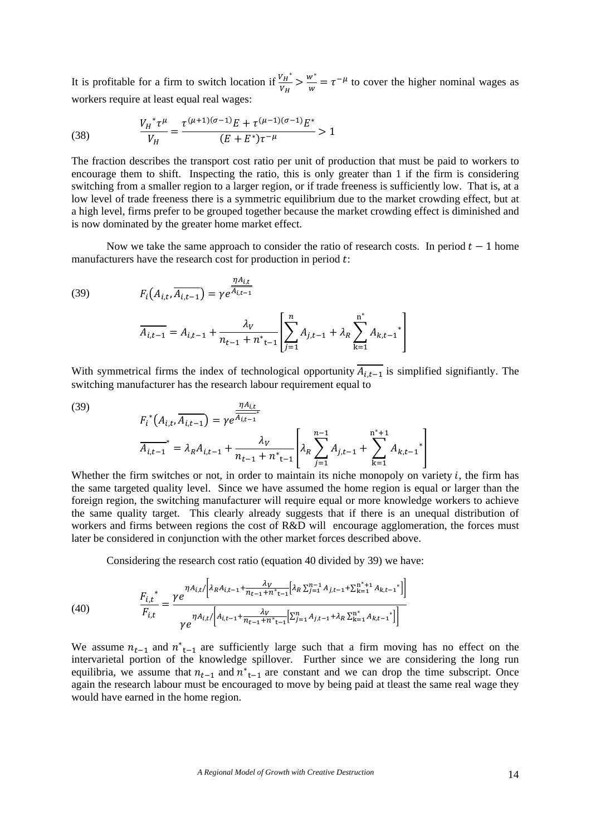It is profitable for a firm to switch location if  $\frac{v_{H}^{*}}{v_{H}} > \frac{w^{*}}{w} = \tau^{-\mu}$  to cover the higher nominal wages as workers require at least equal real wages:

(38) 
$$
\frac{V_H^* \tau^\mu}{V_H} = \frac{\tau^{(\mu+1)(\sigma-1)} E + \tau^{(\mu-1)(\sigma-1)} E^*}{(E + E^*) \tau^{-\mu}} > 1
$$

The fraction describes the transport cost ratio per unit of production that must be paid to workers to encourage them to shift. Inspecting the ratio, this is only greater than 1 if the firm is considering switching from a smaller region to a larger region, or if trade freeness is sufficiently low. That is, at a low level of trade freeness there is a symmetric equilibrium due to the market crowding effect, but at a high level, firms prefer to be grouped together because the market crowding effect is diminished and is now dominated by the greater home market effect.

Now we take the same approach to consider the ratio of research costs. In period  $t-1$  home manufacturers have the research cost for production in period  $t$ :

(39) 
$$
F_i(A_{i,t}, \overline{A_{i,t-1}}) = \gamma e^{\frac{\eta A_{i,t}}{\overline{A_{i,t-1}}}}
$$

$$
\overline{A_{i,t-1}} = A_{i,t-1} + \frac{\lambda_V}{n_{t-1} + n_{t-1}^*} \left[ \sum_{j=1}^n A_{j,t-1} + \lambda_R \sum_{k=1}^{n^*} A_{k,t-1}^* \right]
$$

With symmetrical firms the index of technological opportunity 
$$
\overline{A_{i,t-1}}
$$
 is simplified significantly. The switching manufacturer has the research labour requirement equal to

 $j=1$ 

 $n^*$ 

(39)  

$$
F_i^*(A_{i,t}, \overline{A_{i,t-1}}) = \gamma e^{\frac{\eta A_{i,t}}{\overline{A_{i,t-1}}^*}}
$$

$$
\overline{A_{i,t-1}}^* = \lambda_R A_{i,t-1} + \frac{\lambda_V}{n_{t-1} + n^*_{t-1}} \left[ \lambda_R \sum_{j=1}^{n-1} A_{j,t-1} + \sum_{k=1}^{n^*+1} A_{k,t-1}^* \right]
$$

Whether the firm switches or not, in order to maintain its niche monopoly on variety  $i$ , the firm has the same targeted quality level. Since we have assumed the home region is equal or larger than the foreign region, the switching manufacturer will require equal or more knowledge workers to achieve the same quality target. This clearly already suggests that if there is an unequal distribution of workers and firms between regions the cost of R&D will encourage agglomeration, the forces must later be considered in conjunction with the other market forces described above.

Considering the research cost ratio (equation 40 divided by 39) we have:

(40) 
$$
\frac{F_{i,t^{*}}}{F_{i,t}} = \frac{\gamma e^{\eta A_{i,t}/\left[\lambda_R A_{i,t-1} + \frac{\lambda_V}{n_{t-1} + n_{t-1}} \left[\lambda_R \sum_{j=1}^{n-1} A_{j,t-1} + \sum_{k=1}^{n^{*}+1} A_{k,t-1^{*}}\right]\right]}}{\gamma e^{\eta A_{i,t}/\left[A_{i,t-1} + \frac{\lambda_V}{n_{t-1} + n_{t-1}} \left[\sum_{j=1}^{n} A_{j,t-1} + \lambda_R \sum_{k=1}^{n^{*}+1} A_{k,t-1^{*}}\right]\right]}}
$$

We assume  $n_{t-1}$  and  $n_{t-1}^*$  are sufficiently large such that a firm moving has no effect on the intervarietal portion of the knowledge spillover. Further since we are considering the long run equilibria, we assume that  $n_{t-1}$  and  $n_{t-1}^*$  are constant and we can drop the time subscript. Once again the research labour must be encouraged to move by being paid at tleast the same real wage they would have earned in the home region.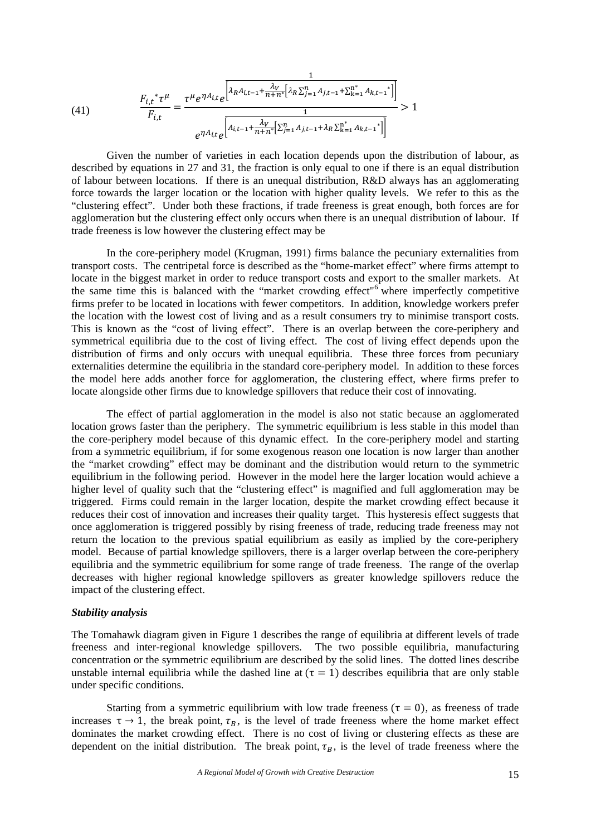(41) 
$$
\frac{F_{i,t}^* \tau^{\mu}}{F_{i,t}} = \frac{\tau^{\mu} e^{\eta A_{i,t}} e^{\left[\lambda_R A_{i,t-1} + \frac{\lambda_V}{n+n^*} \left[\lambda_R \sum_{j=1}^n A_{j,t-1} + \sum_{k=1}^{n^*} A_{k,t-1}^*\right]\right]}}{e^{\eta A_{i,t}} e^{\left[A_{i,t-1} + \frac{\lambda_V}{n+n^*} \left[\sum_{j=1}^n A_{j,t-1} + \lambda_R \sum_{k=1}^{n^*} A_{k,t-1}^*\right]\right]}} > 1
$$

Given the number of varieties in each location depends upon the distribution of labour, as described by equations in 27 and 31, the fraction is only equal to one if there is an equal distribution of labour between locations. If there is an unequal distribution, R&D always has an agglomerating force towards the larger location or the location with higher quality levels. We refer to this as the "clustering effect". Under both these fractions, if trade freeness is great enough, both forces are for agglomeration but the clustering effect only occurs when there is an unequal distribution of labour. If trade freeness is low however the clustering effect may be

In the core-periphery model (Krugman, 1991) firms balance the pecuniary externalities from transport costs. The centripetal force is described as the "home-market effect" where firms attempt to locate in the biggest market in order to reduce transport costs and export to the smaller markets. At the same time this is balanced with the "market crowding effect"<sup>6</sup> where imperfectly competitive firms prefer to be located in locations with fewer competitors. In addition, knowledge workers prefer the location with the lowest cost of living and as a result consumers try to minimise transport costs. This is known as the "cost of living effect". There is an overlap between the core-periphery and symmetrical equilibria due to the cost of living effect. The cost of living effect depends upon the distribution of firms and only occurs with unequal equilibria. These three forces from pecuniary externalities determine the equilibria in the standard core-periphery model. In addition to these forces the model here adds another force for agglomeration, the clustering effect, where firms prefer to locate alongside other firms due to knowledge spillovers that reduce their cost of innovating.

The effect of partial agglomeration in the model is also not static because an agglomerated location grows faster than the periphery. The symmetric equilibrium is less stable in this model than the core-periphery model because of this dynamic effect. In the core-periphery model and starting from a symmetric equilibrium, if for some exogenous reason one location is now larger than another the "market crowding" effect may be dominant and the distribution would return to the symmetric equilibrium in the following period. However in the model here the larger location would achieve a higher level of quality such that the "clustering effect" is magnified and full agglomeration may be triggered. Firms could remain in the larger location, despite the market crowding effect because it reduces their cost of innovation and increases their quality target. This hysteresis effect suggests that once agglomeration is triggered possibly by rising freeness of trade, reducing trade freeness may not return the location to the previous spatial equilibrium as easily as implied by the core-periphery model. Because of partial knowledge spillovers, there is a larger overlap between the core-periphery equilibria and the symmetric equilibrium for some range of trade freeness. The range of the overlap decreases with higher regional knowledge spillovers as greater knowledge spillovers reduce the impact of the clustering effect.

## *Stability analysis*

The Tomahawk diagram given in Figure 1 describes the range of equilibria at different levels of trade freeness and inter-regional knowledge spillovers. The two possible equilibria, manufacturing concentration or the symmetric equilibrium are described by the solid lines. The dotted lines describe unstable internal equilibria while the dashed line at  $(\tau = 1)$  describes equilibria that are only stable under specific conditions.

Starting from a symmetric equilibrium with low trade freeness  $(\tau = 0)$ , as freeness of trade increases  $\tau \rightarrow 1$ , the break point,  $\tau_R$ , is the level of trade freeness where the home market effect dominates the market crowding effect. There is no cost of living or clustering effects as these are dependent on the initial distribution. The break point,  $\tau_B$ , is the level of trade freeness where the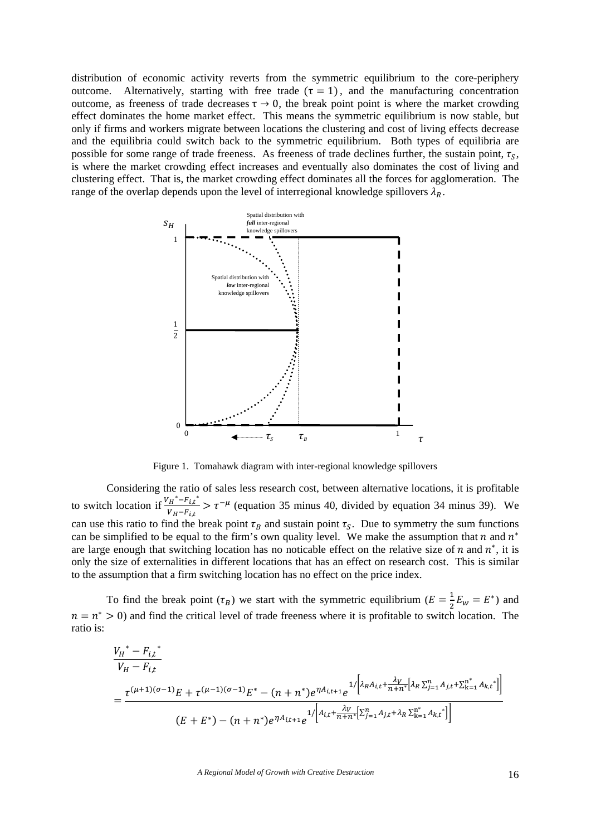distribution of economic activity reverts from the symmetric equilibrium to the core-periphery outcome. Alternatively, starting with free trade  $(\tau = 1)$ , and the manufacturing concentration outcome, as freeness of trade decreases  $\tau \rightarrow 0$ , the break point point is where the market crowding effect dominates the home market effect. This means the symmetric equilibrium is now stable, but only if firms and workers migrate between locations the clustering and cost of living effects decrease and the equilibria could switch back to the symmetric equilibrium. Both types of equilibria are possible for some range of trade freeness. As freeness of trade declines further, the sustain point,  $\tau_s$ , is where the market crowding effect increases and eventually also dominates the cost of living and clustering effect. That is, the market crowding effect dominates all the forces for agglomeration. The range of the overlap depends upon the level of interregional knowledge spillovers  $\lambda_R$ .



Figure 1. Tomahawk diagram with inter-regional knowledge spillovers

Considering the ratio of sales less research cost, between alternative locations, it is profitable to switch location if  $\frac{V_H^* - F_{i,t}^*}{V_H - F_{i,t}} > \tau^{-\mu}$  (equation 35 minus 40, divided by equation 34 minus 39). We can use this ratio to find the break point  $\tau_B$  and sustain point  $\tau_S$ . Due to symmetry the sum functions can be simplified to be equal to the firm's own quality level. We make the assumption that n and  $n^*$ are large enough that switching location has no noticable effect on the relative size of n and  $n^*$ , it is only the size of externalities in different locations that has an effect on research cost. This is similar to the assumption that a firm switching location has no effect on the price index.

To find the break point  $(\tau_B)$  we start with the symmetric equilibrium  $(E = \frac{1}{2}E_w = E^*)$  and  $n = n^* > 0$  and find the critical level of trade freeness where it is profitable to switch location. The ratio is:

$$
\frac{V_H^* - F_{i,t}^*}{V_H - F_{i,t}}
$$
\n
$$
= \frac{\tau^{(\mu+1)(\sigma-1)}E + \tau^{(\mu-1)(\sigma-1)}E^* - (n+n^*)e^{\eta A_{i,t+1}}e^{-\frac{1}{2}\left[\lambda_R A_{i,t} + \frac{\lambda_V}{n+n^*}\left[\lambda_R \sum_{j=1}^n A_{j,t} + \sum_{k=1}^n A_{k,t}^*\right]\right]}}{(E+E^*) - (n+n^*)e^{\eta A_{i,t+1}}e^{-\frac{1}{2}\left[\lambda_L + \frac{\lambda_V}{n+n^*}\left[\sum_{j=1}^n A_{j,t} + \lambda_R \sum_{k=1}^n A_{k,t}^*\right]\right]}}
$$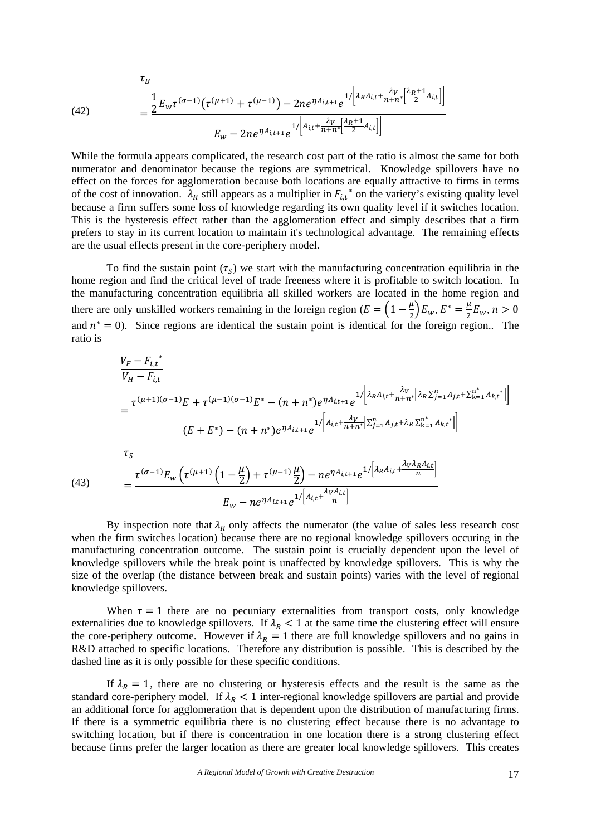(42)  

$$
\frac{1}{2}E_{w}\tau^{(\sigma-1)}(\tau^{(\mu+1)}+\tau^{(\mu-1)})-2ne^{\eta A_{i,t+1}}e^{1/\left[\lambda_{R}A_{i,t}+\frac{\lambda_{V}}{n+n^{*}}\left[\frac{\lambda_{R}+1}{2}A_{i,t}\right]\right]}}{E_{w}-2ne^{\eta A_{i,t+1}}e^{1/\left[A_{i,t}+\frac{\lambda_{V}}{n+n^{*}}\left[\frac{\lambda_{R}+1}{2}A_{i,t}\right]\right]}}
$$

While the formula appears complicated, the research cost part of the ratio is almost the same for both numerator and denominator because the regions are symmetrical. Knowledge spillovers have no effect on the forces for agglomeration because both locations are equally attractive to firms in terms of the cost of innovation.  $\tilde{\lambda}_R$  still appears as a multiplier in  $F_{i,t}^*$  on the variety's existing quality level because a firm suffers some loss of knowledge regarding its own quality level if it switches location. This is the hysteresis effect rather than the agglomeration effect and simply describes that a firm prefers to stay in its current location to maintain it's technological advantage. The remaining effects are the usual effects present in the core-periphery model.

To find the sustain point  $(\tau_s)$  we start with the manufacturing concentration equilibria in the home region and find the critical level of trade freeness where it is profitable to switch location. In the manufacturing concentration equilibria all skilled workers are located in the home region and there are only unskilled workers remaining in the foreign region  $(E = \left(1 - \frac{\mu}{2}\right)E_w, E^* = \frac{\mu}{2}E_w, n > 0$ and  $n^* = 0$ ). Since regions are identical the sustain point is identical for the foreign region.. The ratio is

(43)  
\n
$$
\frac{V_F - F_{i,t}^*}{V_H - F_{i,t}}
$$
\n
$$
= \frac{\tau^{(\mu+1)(\sigma-1)}E + \tau^{(\mu-1)(\sigma-1)}E^* - (n+n^*)e^{\eta A_{i,t+1}}e^{-1/2\left[\lambda_R A_{i,t} + \frac{\lambda_V}{n+n^*}[{\lambda_R} \Sigma_{j=1}^n A_{j,t} + \Sigma_{k=1}^{n^*} A_{k,t}^*\right]]}{(E + E^*) - (n+n^*)e^{\eta A_{i,t+1}}e^{-1/2\left[A_{i,t} + \frac{\lambda_V}{n+n^*}[\Sigma_{j=1}^n A_{j,t} + \lambda_R \Sigma_{k=1}^{n^*} A_{k,t}^*\right]}}{1/\left[\lambda_R A_{i,t} + \frac{\lambda_V \lambda_R A_{i,t}}{n}\right]}
$$
\n
$$
= \frac{\tau^{(\sigma-1)}E_w\left(\tau^{(\mu+1)}\left(1 - \frac{\mu}{2}\right) + \tau^{(\mu-1)}\frac{\mu}{2}\right) - ne^{\eta A_{i,t+1}}e^{-1/2\left[\lambda_R A_{i,t} + \frac{\lambda_V \lambda_R A_{i,t}}{n}\right]}}{1/\left[\lambda_R A_{i,t} + \frac{\lambda_V \lambda_R A_{i,t}}{n}\right]}
$$
\n
$$
E_w - ne^{\eta A_{i,t+1}}e^{-1/2\left[A_{i,t} + \frac{\lambda_V A_{i,t}}{n}\right]}
$$

By inspection note that  $\lambda_R$  only affects the numerator (the value of sales less research cost when the firm switches location) because there are no regional knowledge spillovers occuring in the manufacturing concentration outcome. The sustain point is crucially dependent upon the level of knowledge spillovers while the break point is unaffected by knowledge spillovers. This is why the size of the overlap (the distance between break and sustain points) varies with the level of regional knowledge spillovers.

When  $\tau = 1$  there are no pecuniary externalities from transport costs, only knowledge externalities due to knowledge spillovers. If  $\lambda_R < 1$  at the same time the clustering effect will ensure the core-periphery outcome. However if  $\lambda_R = 1$  there are full knowledge spillovers and no gains in R&D attached to specific locations. Therefore any distribution is possible. This is described by the dashed line as it is only possible for these specific conditions.

If  $\lambda_R = 1$ , there are no clustering or hysteresis effects and the result is the same as the standard core-periphery model. If  $\lambda_R < 1$  inter-regional knowledge spillovers are partial and provide an additional force for agglomeration that is dependent upon the distribution of manufacturing firms. If there is a symmetric equilibria there is no clustering effect because there is no advantage to switching location, but if there is concentration in one location there is a strong clustering effect because firms prefer the larger location as there are greater local knowledge spillovers. This creates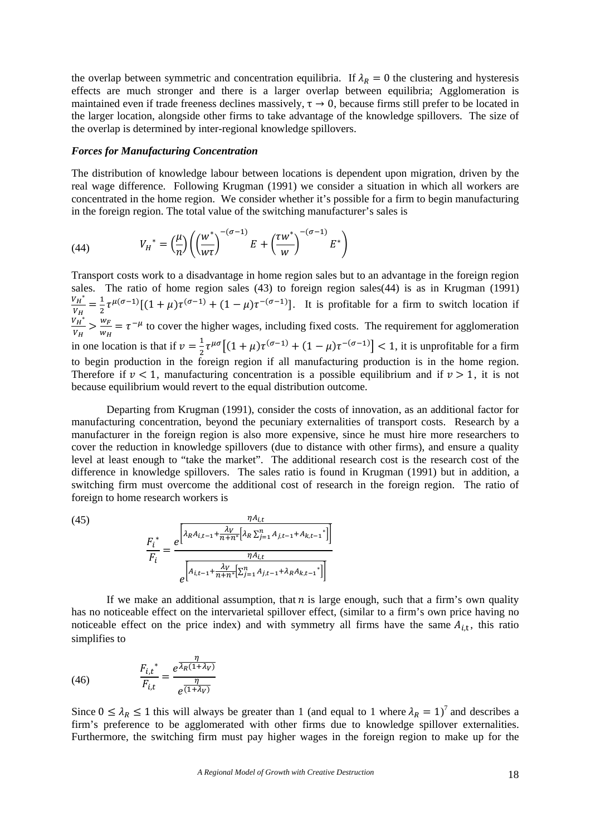the overlap between symmetric and concentration equilibria. If  $\lambda_R = 0$  the clustering and hysteresis effects are much stronger and there is a larger overlap between equilibria; Agglomeration is maintained even if trade freeness declines massively,  $\tau \to 0$ , because firms still prefer to be located in the larger location, alongside other firms to take advantage of the knowledge spillovers. The size of the overlap is determined by inter-regional knowledge spillovers.

#### *Forces for Manufacturing Concentration*

The distribution of knowledge labour between locations is dependent upon migration, driven by the real wage difference. Following Krugman (1991) we consider a situation in which all workers are concentrated in the home region. We consider whether it's possible for a firm to begin manufacturing in the foreign region. The total value of the switching manufacturer's sales is

(44) 
$$
V_H^* = \left(\frac{\mu}{n}\right) \left(\left(\frac{w^*}{w\tau}\right)^{-(\sigma-1)} E + \left(\frac{\tau w^*}{w}\right)^{-(\sigma-1)} E^*\right)
$$

Transport costs work to a disadvantage in home region sales but to an advantage in the foreign region sales. The ratio of home region sales (43) to foreign region sales(44) is as in Krugman (1991)  $V_H^*$  $\frac{v_H^*}{v_H} = \frac{1}{2} \tau^{\mu(\sigma-1)} [(1+\mu)\tau^{(\sigma-1)} + (1-\mu)\tau^{-(\sigma-1)}]$ . It is profitable for a firm to switch location if  $v_H^{\mathbf{r}_*}$  $\frac{v_H^*}{v_H} > \frac{w_F}{w_H} = \tau^{-\mu}$  to cover the higher wages, including fixed costs. The requirement for agglomeration in one location is that if  $v = \frac{1}{2}$  $\frac{1}{2}\tau^{\mu\sigma}\left[(1+\mu)\tau^{(\sigma-1)}+(1-\mu)\tau^{-(\sigma-1)}\right] < 1$ , it is unprofitable for a firm to begin production in the foreign region if all manufacturing production is in the home region. Therefore if  $\nu < 1$ , manufacturing concentration is a possible equilibrium and if  $\nu > 1$ , it is not because equilibrium would revert to the equal distribution outcome.

Departing from Krugman (1991), consider the costs of innovation, as an additional factor for manufacturing concentration, beyond the pecuniary externalities of transport costs. Research by a manufacturer in the foreign region is also more expensive, since he must hire more researchers to cover the reduction in knowledge spillovers (due to distance with other firms), and ensure a quality level at least enough to "take the market". The additional research cost is the research cost of the difference in knowledge spillovers. The sales ratio is found in Krugman (1991) but in addition, a switching firm must overcome the additional cost of research in the foreign region. The ratio of foreign to home research workers is

$$
(45)
$$

$$
\frac{r_i^*}{F_i} = \frac{e^{\left[\lambda_R A_{i,t-1} + \frac{\lambda_V}{n+n^*} \left[\lambda_R \sum_{j=1}^n A_{j,t-1} + A_{k,t-1}^*\right]\right]}}{e^{\left[A_{i,t-1} + \frac{\lambda_V}{n+n^*} \left[\sum_{j=1}^n A_{j,t-1} + \lambda_R A_{k,t-1}^*\right]\right]}}
$$

If we make an additional assumption, that  $n$  is large enough, such that a firm's own quality has no noticeable effect on the intervarietal spillover effect, (similar to a firm's own price having no noticeable effect on the price index) and with symmetry all firms have the same  $A_{i,t}$ , this ratio simplifies to

(46) 
$$
\frac{F_{i,t}^*}{F_{i,t}} = \frac{e^{\frac{\eta}{\lambda_R(1+\lambda_V)}}}{e^{\frac{\eta}{(1+\lambda_V)}}}
$$

Since  $0 \leq \lambda_R \leq 1$  this will always be greater than 1 (and equal to 1 where  $\lambda_R = 1$ )<sup>7</sup> and describes a firm's preference to be agglomerated with other firms due to knowledge spillover externalities. Furthermore, the switching firm must pay higher wages in the foreign region to make up for the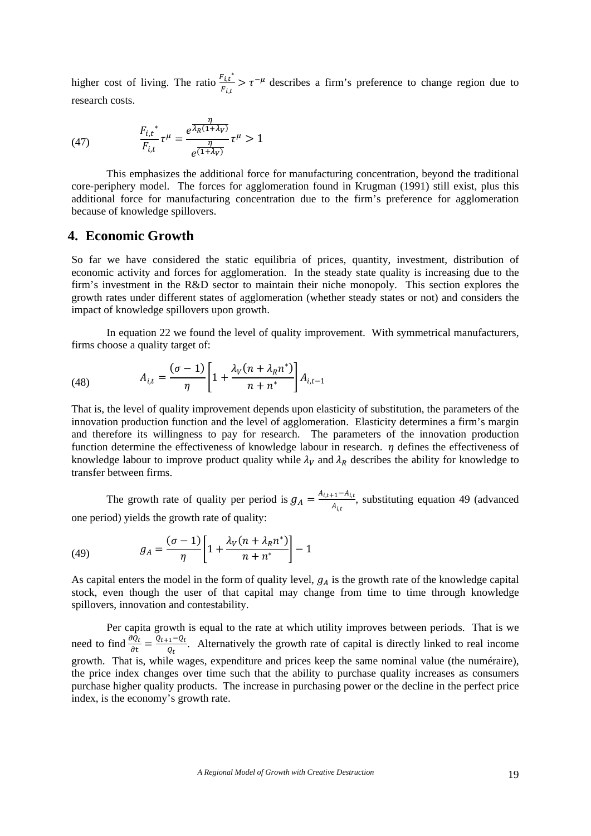higher cost of living. The ratio  $\frac{F_{i,t}^*}{F_{i,t}} > \tau^{-\mu}$  describes a firm's preference to change region due to research costs.

(47) 
$$
\frac{F_{i,t}^*}{F_{i,t}} \tau^{\mu} = \frac{e^{\frac{\eta}{\lambda_R(1+\lambda_V)}}}{e^{\frac{\eta}{(1+\lambda_V)}}} \tau^{\mu} > 1
$$

This emphasizes the additional force for manufacturing concentration, beyond the traditional core-periphery model. The forces for agglomeration found in Krugman (1991) still exist, plus this additional force for manufacturing concentration due to the firm's preference for agglomeration because of knowledge spillovers.

## **4. Economic Growth**

So far we have considered the static equilibria of prices, quantity, investment, distribution of economic activity and forces for agglomeration. In the steady state quality is increasing due to the firm's investment in the R&D sector to maintain their niche monopoly. This section explores the growth rates under different states of agglomeration (whether steady states or not) and considers the impact of knowledge spillovers upon growth.

In equation 22 we found the level of quality improvement. With symmetrical manufacturers, firms choose a quality target of:

(48) 
$$
A_{i,t} = \frac{(\sigma - 1)}{\eta} \left[ 1 + \frac{\lambda_V (n + \lambda_R n^*)}{n + n^*} \right] A_{i,t-1}
$$

That is, the level of quality improvement depends upon elasticity of substitution, the parameters of the innovation production function and the level of agglomeration. Elasticity determines a firm's margin and therefore its willingness to pay for research. The parameters of the innovation production function determine the effectiveness of knowledge labour in research.  $\eta$  defines the effectiveness of knowledge labour to improve product quality while  $\lambda_V$  and  $\lambda_R$  describes the ability for knowledge to transfer between firms.

The growth rate of quality per period is  $g_A = \frac{A_{i,t+1} - A_{i,t}}{A_{i,t}}$ , substituting equation 49 (advanced one period) yields the growth rate of quality:

(49) 
$$
g_A = \frac{(\sigma - 1)}{\eta} \left[ 1 + \frac{\lambda_V (n + \lambda_R n^*)}{n + n^*} \right] - 1
$$

As capital enters the model in the form of quality level,  $g_A$  is the growth rate of the knowledge capital stock, even though the user of that capital may change from time to time through knowledge spillovers, innovation and contestability.

Per capita growth is equal to the rate at which utility improves between periods. That is we need to find  $\frac{\partial Q_t}{\partial t} = \frac{Q_{t+1} - Q_t}{Q_t}$ . Alternatively the growth rate of capital is directly linked to real income growth. That is, while wages, expenditure and prices keep the same nominal value (the numéraire), the price index changes over time such that the ability to purchase quality increases as consumers purchase higher quality products. The increase in purchasing power or the decline in the perfect price index, is the economy's growth rate.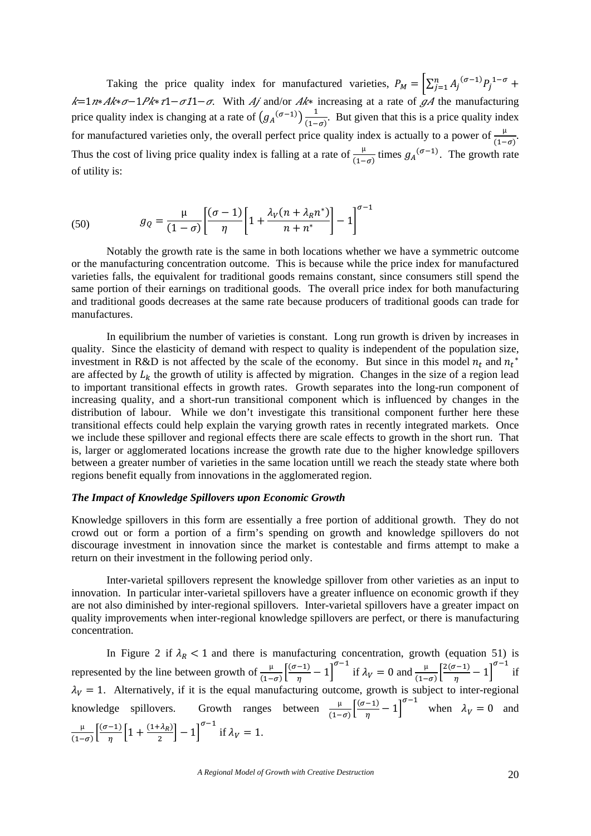Taking the price quality index for manufactured varieties,  $P_M = \left[\sum_{j=1}^n A_j^{(\sigma-1)} P_j^{1-\sigma} + \right]$  $k=1$ n\* $Ak^*\sigma-1Pk*\tau1-\sigma11-\sigma$ . With  $Aj$  and/or  $Ak^*$  increasing at a rate of  $\sigma A$  the manufacturing price quality index is changing at a rate of  $(g_A^{(\sigma-1)})\frac{1}{(1-\sigma)}$ . But given that this is a price quality index for manufactured varieties only, the overall perfect price quality index is actually to a power of  $\frac{\mu}{(1-\sigma)}$ . Thus the cost of living price quality index is falling at a rate of  $\frac{\mu}{(1-\sigma)}$  times  $g_A^{(\sigma-1)}$ . The growth rate of utility is:

(50) 
$$
g_Q = \frac{\mu}{(1-\sigma)} \left[ \frac{(\sigma-1)}{\eta} \left[ 1 + \frac{\lambda_V (n + \lambda_R n^*)}{n + n^*} \right] - 1 \right]^{\sigma-1}
$$

Notably the growth rate is the same in both locations whether we have a symmetric outcome or the manufacturing concentration outcome. This is because while the price index for manufactured varieties falls, the equivalent for traditional goods remains constant, since consumers still spend the same portion of their earnings on traditional goods. The overall price index for both manufacturing and traditional goods decreases at the same rate because producers of traditional goods can trade for manufactures.

In equilibrium the number of varieties is constant. Long run growth is driven by increases in quality. Since the elasticity of demand with respect to quality is independent of the population size, investment in R&D is not affected by the scale of the economy. But since in this model  $n_t$  and  $n_t^*$ are affected by  $L_k$  the growth of utility is affected by migration. Changes in the size of a region lead to important transitional effects in growth rates. Growth separates into the long-run component of increasing quality, and a short-run transitional component which is influenced by changes in the distribution of labour. While we don't investigate this transitional component further here these transitional effects could help explain the varying growth rates in recently integrated markets. Once we include these spillover and regional effects there are scale effects to growth in the short run. That is, larger or agglomerated locations increase the growth rate due to the higher knowledge spillovers between a greater number of varieties in the same location untill we reach the steady state where both regions benefit equally from innovations in the agglomerated region.

#### *The Impact of Knowledge Spillovers upon Economic Growth*

Knowledge spillovers in this form are essentially a free portion of additional growth. They do not crowd out or form a portion of a firm's spending on growth and knowledge spillovers do not discourage investment in innovation since the market is contestable and firms attempt to make a return on their investment in the following period only.

Inter-varietal spillovers represent the knowledge spillover from other varieties as an input to innovation. In particular inter-varietal spillovers have a greater influence on economic growth if they are not also diminished by inter-regional spillovers. Inter-varietal spillovers have a greater impact on quality improvements when inter-regional knowledge spillovers are perfect, or there is manufacturing concentration.

In Figure 2 if  $\lambda_R < 1$  and there is manufacturing concentration, growth (equation 51) is represented by the line between growth of  $\frac{\mu}{(1-\sigma)}\left[\frac{(\sigma-1)}{\eta}\right]$  $\left(\frac{(-1)}{\eta} - 1\right)^{\sigma-1}$  if  $\lambda_V = 0$  and  $\frac{\mu}{(1-\sigma)}\left[\frac{2(\sigma-1)}{\eta}\right]$  $\left[\frac{\sigma-1}{\eta}-1\right]^{\sigma-1}$  if  $\lambda_V = 1$ . Alternatively, if it is the equal manufacturing outcome, growth is subject to inter-regional knowledge spillovers. Growth ranges between  $\frac{\mu}{(1-\sigma)}\left[\frac{(\sigma-1)}{\eta}\right]$  $\left[\frac{-1}{\eta} - 1\right]^{\sigma - 1}$  when  $\lambda_V = 0$  and µ  $\frac{\mu}{(1-\sigma)} \left[ \frac{(\sigma-1)}{\eta} \left[ 1 + \frac{(1+\lambda_R)}{2} \right] - 1 \right]^{\sigma-1}$  if  $\lambda_V = 1$ .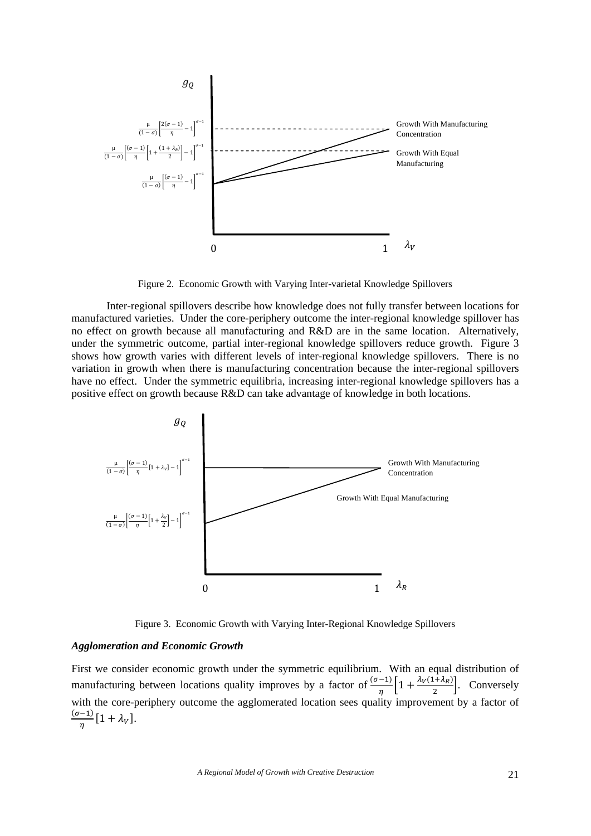

Figure 2. Economic Growth with Varying Inter-varietal Knowledge Spillovers

Inter-regional spillovers describe how knowledge does not fully transfer between locations for manufactured varieties. Under the core-periphery outcome the inter-regional knowledge spillover has no effect on growth because all manufacturing and R&D are in the same location. Alternatively, under the symmetric outcome, partial inter-regional knowledge spillovers reduce growth. Figure 3 shows how growth varies with different levels of inter-regional knowledge spillovers. There is no variation in growth when there is manufacturing concentration because the inter-regional spillovers have no effect. Under the symmetric equilibria, increasing inter-regional knowledge spillovers has a positive effect on growth because R&D can take advantage of knowledge in both locations.



Figure 3. Economic Growth with Varying Inter-Regional Knowledge Spillovers

## *Agglomeration and Economic Growth*

First we consider economic growth under the symmetric equilibrium. With an equal distribution of manufacturing between locations quality improves by a factor of  $\frac{(\sigma-1)}{\eta} \left[1 + \frac{\lambda_V(1+\lambda_R)}{2}\right]$ . Conversely with the core-periphery outcome the agglomerated location sees quality improvement by a factor of  $\frac{(\sigma-1)}{\eta} [1 + \lambda_V].$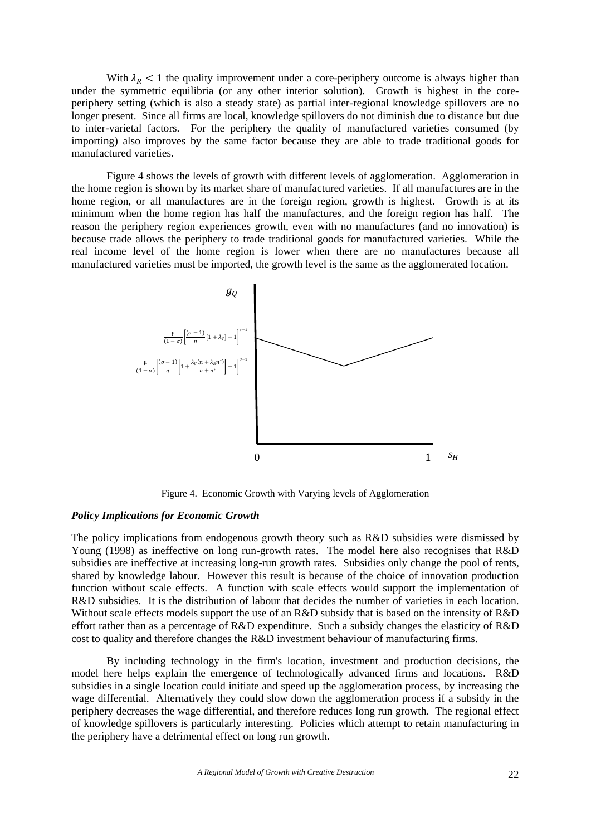With  $\lambda_R$  < 1 the quality improvement under a core-periphery outcome is always higher than under the symmetric equilibria (or any other interior solution). Growth is highest in the coreperiphery setting (which is also a steady state) as partial inter-regional knowledge spillovers are no longer present. Since all firms are local, knowledge spillovers do not diminish due to distance but due to inter-varietal factors. For the periphery the quality of manufactured varieties consumed (by importing) also improves by the same factor because they are able to trade traditional goods for manufactured varieties.

Figure 4 shows the levels of growth with different levels of agglomeration. Agglomeration in the home region is shown by its market share of manufactured varieties. If all manufactures are in the home region, or all manufactures are in the foreign region, growth is highest. Growth is at its minimum when the home region has half the manufactures, and the foreign region has half. The reason the periphery region experiences growth, even with no manufactures (and no innovation) is because trade allows the periphery to trade traditional goods for manufactured varieties. While the real income level of the home region is lower when there are no manufactures because all manufactured varieties must be imported, the growth level is the same as the agglomerated location.



Figure 4. Economic Growth with Varying levels of Agglomeration

## *Policy Implications for Economic Growth*

The policy implications from endogenous growth theory such as R&D subsidies were dismissed by Young (1998) as ineffective on long run-growth rates. The model here also recognises that R&D subsidies are ineffective at increasing long-run growth rates. Subsidies only change the pool of rents, shared by knowledge labour. However this result is because of the choice of innovation production function without scale effects. A function with scale effects would support the implementation of R&D subsidies. It is the distribution of labour that decides the number of varieties in each location. Without scale effects models support the use of an R&D subsidy that is based on the intensity of R&D effort rather than as a percentage of R&D expenditure. Such a subsidy changes the elasticity of R&D cost to quality and therefore changes the R&D investment behaviour of manufacturing firms.

By including technology in the firm's location, investment and production decisions, the model here helps explain the emergence of technologically advanced firms and locations. R&D subsidies in a single location could initiate and speed up the agglomeration process, by increasing the wage differential. Alternatively they could slow down the agglomeration process if a subsidy in the periphery decreases the wage differential, and therefore reduces long run growth. The regional effect of knowledge spillovers is particularly interesting. Policies which attempt to retain manufacturing in the periphery have a detrimental effect on long run growth.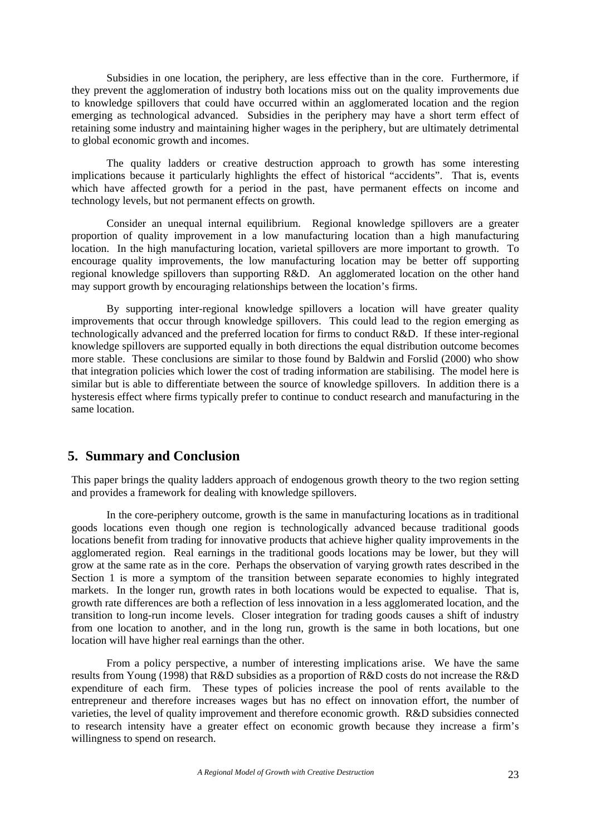Subsidies in one location, the periphery, are less effective than in the core. Furthermore, if they prevent the agglomeration of industry both locations miss out on the quality improvements due to knowledge spillovers that could have occurred within an agglomerated location and the region emerging as technological advanced. Subsidies in the periphery may have a short term effect of retaining some industry and maintaining higher wages in the periphery, but are ultimately detrimental to global economic growth and incomes.

The quality ladders or creative destruction approach to growth has some interesting implications because it particularly highlights the effect of historical "accidents". That is, events which have affected growth for a period in the past, have permanent effects on income and technology levels, but not permanent effects on growth.

Consider an unequal internal equilibrium. Regional knowledge spillovers are a greater proportion of quality improvement in a low manufacturing location than a high manufacturing location. In the high manufacturing location, varietal spillovers are more important to growth. To encourage quality improvements, the low manufacturing location may be better off supporting regional knowledge spillovers than supporting R&D. An agglomerated location on the other hand may support growth by encouraging relationships between the location's firms.

By supporting inter-regional knowledge spillovers a location will have greater quality improvements that occur through knowledge spillovers. This could lead to the region emerging as technologically advanced and the preferred location for firms to conduct R&D. If these inter-regional knowledge spillovers are supported equally in both directions the equal distribution outcome becomes more stable. These conclusions are similar to those found by Baldwin and Forslid (2000) who show that integration policies which lower the cost of trading information are stabilising. The model here is similar but is able to differentiate between the source of knowledge spillovers. In addition there is a hysteresis effect where firms typically prefer to continue to conduct research and manufacturing in the same location.

## **5. Summary and Conclusion**

This paper brings the quality ladders approach of endogenous growth theory to the two region setting and provides a framework for dealing with knowledge spillovers.

In the core-periphery outcome, growth is the same in manufacturing locations as in traditional goods locations even though one region is technologically advanced because traditional goods locations benefit from trading for innovative products that achieve higher quality improvements in the agglomerated region. Real earnings in the traditional goods locations may be lower, but they will grow at the same rate as in the core. Perhaps the observation of varying growth rates described in the Section 1 is more a symptom of the transition between separate economies to highly integrated markets. In the longer run, growth rates in both locations would be expected to equalise. That is, growth rate differences are both a reflection of less innovation in a less agglomerated location, and the transition to long-run income levels. Closer integration for trading goods causes a shift of industry from one location to another, and in the long run, growth is the same in both locations, but one location will have higher real earnings than the other.

From a policy perspective, a number of interesting implications arise. We have the same results from Young (1998) that R&D subsidies as a proportion of R&D costs do not increase the R&D expenditure of each firm. These types of policies increase the pool of rents available to the entrepreneur and therefore increases wages but has no effect on innovation effort, the number of varieties, the level of quality improvement and therefore economic growth. R&D subsidies connected to research intensity have a greater effect on economic growth because they increase a firm's willingness to spend on research.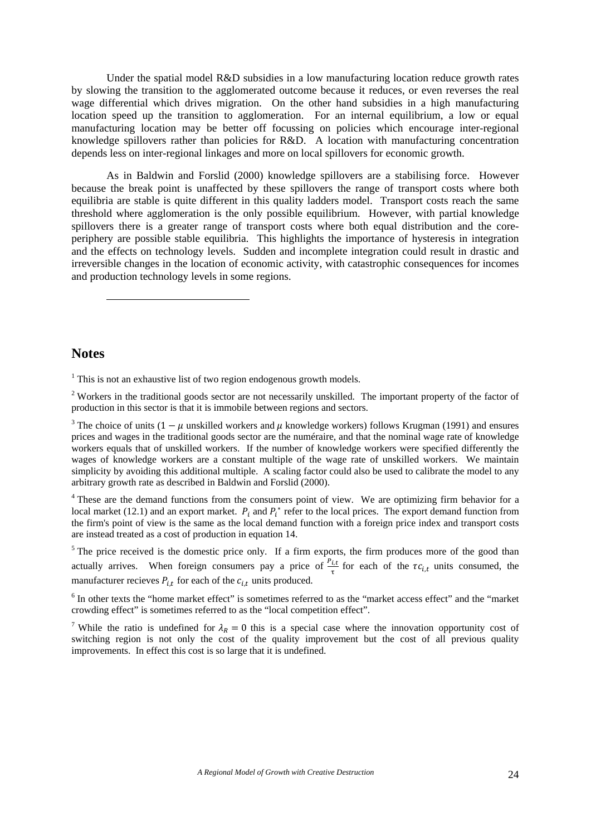Under the spatial model R&D subsidies in a low manufacturing location reduce growth rates by slowing the transition to the agglomerated outcome because it reduces, or even reverses the real wage differential which drives migration. On the other hand subsidies in a high manufacturing location speed up the transition to agglomeration. For an internal equilibrium, a low or equal manufacturing location may be better off focussing on policies which encourage inter-regional knowledge spillovers rather than policies for R&D. A location with manufacturing concentration depends less on inter-regional linkages and more on local spillovers for economic growth.

As in Baldwin and Forslid (2000) knowledge spillovers are a stabilising force. However because the break point is unaffected by these spillovers the range of transport costs where both equilibria are stable is quite different in this quality ladders model. Transport costs reach the same threshold where agglomeration is the only possible equilibrium. However, with partial knowledge spillovers there is a greater range of transport costs where both equal distribution and the coreperiphery are possible stable equilibria. This highlights the importance of hysteresis in integration and the effects on technology levels. Sudden and incomplete integration could result in drastic and irreversible changes in the location of economic activity, with catastrophic consequences for incomes and production technology levels in some regions.

## **Notes**

l

<sup>1</sup> This is not an exhaustive list of two region endogenous growth models.

 $2$  Workers in the traditional goods sector are not necessarily unskilled. The important property of the factor of production in this sector is that it is immobile between regions and sectors.

<sup>3</sup> The choice of units (1 –  $\mu$  unskilled workers and  $\mu$  knowledge workers) follows Krugman (1991) and ensures prices and wages in the traditional goods sector are the numéraire, and that the nominal wage rate of knowledge workers equals that of unskilled workers. If the number of knowledge workers were specified differently the wages of knowledge workers are a constant multiple of the wage rate of unskilled workers. We maintain simplicity by avoiding this additional multiple. A scaling factor could also be used to calibrate the model to any arbitrary growth rate as described in Baldwin and Forslid (2000).

<sup>4</sup> These are the demand functions from the consumers point of view. We are optimizing firm behavior for a local market (12.1) and an export market.  $P_i$  and  $P_i^*$  refer to the local prices. The export demand function from the firm's point of view is the same as the local demand function with a foreign price index and transport costs are instead treated as a cost of production in equation 14.

<sup>5</sup> The price received is the domestic price only. If a firm exports, the firm produces more of the good than actually arrives. When foreign consumers pay a price of  $\frac{P_{i,t}}{\tau}$  for each of the  $\tau c_{i,t}$  units consumed, the manufacturer recieves  $P_{i,t}$  for each of the  $c_{i,t}$  units produced.

<sup>6</sup> In other texts the "home market effect" is sometimes referred to as the "market access effect" and the "market crowding effect" is sometimes referred to as the "local competition effect".

<sup>7</sup> While the ratio is undefined for  $\lambda_R = 0$  this is a special case where the innovation opportunity cost of switching region is not only the cost of the quality improvement but the cost of all previous quality improvements. In effect this cost is so large that it is undefined.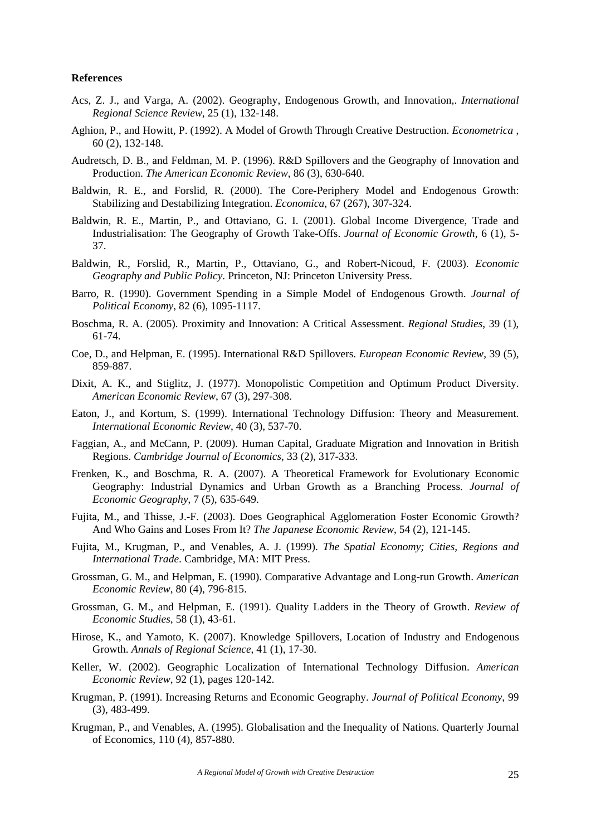## **References**

- Acs, Z. J., and Varga, A. (2002). Geography, Endogenous Growth, and Innovation,. *International Regional Science Review*, 25 (1), 132-148.
- Aghion, P., and Howitt, P. (1992). A Model of Growth Through Creative Destruction. *Econometrica* , 60 (2), 132-148.
- Audretsch, D. B., and Feldman, M. P. (1996). R&D Spillovers and the Geography of Innovation and Production. *The American Economic Review*, 86 (3), 630-640.
- Baldwin, R. E., and Forslid, R. (2000). The Core-Periphery Model and Endogenous Growth: Stabilizing and Destabilizing Integration. *Economica*, 67 (267), 307-324.
- Baldwin, R. E., Martin, P., and Ottaviano, G. I. (2001). Global Income Divergence, Trade and Industrialisation: The Geography of Growth Take-Offs. *Journal of Economic Growth*, 6 (1), 5- 37.
- Baldwin, R., Forslid, R., Martin, P., Ottaviano, G., and Robert-Nicoud, F. (2003). *Economic Geography and Public Policy*. Princeton, NJ: Princeton University Press.
- Barro, R. (1990). Government Spending in a Simple Model of Endogenous Growth. *Journal of Political Economy*, 82 (6), 1095-1117.
- Boschma, R. A. (2005). Proximity and Innovation: A Critical Assessment. *Regional Studies*, 39 (1), 61-74.
- Coe, D., and Helpman, E. (1995). International R&D Spillovers. *European Economic Review*, 39 (5), 859-887.
- Dixit, A. K., and Stiglitz, J. (1977). Monopolistic Competition and Optimum Product Diversity. *American Economic Review*, 67 (3), 297-308.
- Eaton, J., and Kortum, S. (1999). International Technology Diffusion: Theory and Measurement. *International Economic Review*, 40 (3), 537-70.
- Faggian, A., and McCann, P. (2009). Human Capital, Graduate Migration and Innovation in British Regions. *Cambridge Journal of Economics*, 33 (2), 317-333.
- Frenken, K., and Boschma, R. A. (2007). A Theoretical Framework for Evolutionary Economic Geography: Industrial Dynamics and Urban Growth as a Branching Process. *Journal of Economic Geography*, 7 (5), 635-649.
- Fujita, M., and Thisse, J.-F. (2003). Does Geographical Agglomeration Foster Economic Growth? And Who Gains and Loses From It? *The Japanese Economic Review*, 54 (2), 121-145.
- Fujita, M., Krugman, P., and Venables, A. J. (1999). *The Spatial Economy; Cities, Regions and International Trade*. Cambridge, MA: MIT Press.
- Grossman, G. M., and Helpman, E. (1990). Comparative Advantage and Long-run Growth. *American Economic Review*, 80 (4), 796-815.
- Grossman, G. M., and Helpman, E. (1991). Quality Ladders in the Theory of Growth. *Review of Economic Studies*, 58 (1), 43-61.
- Hirose, K., and Yamoto, K. (2007). Knowledge Spillovers, Location of Industry and Endogenous Growth. *Annals of Regional Science*, 41 (1), 17-30.
- Keller, W. (2002). Geographic Localization of International Technology Diffusion. *American Economic Review*, 92 (1), pages 120-142.
- Krugman, P. (1991). Increasing Returns and Economic Geography. *Journal of Political Economy*, 99 (3), 483-499.
- Krugman, P., and Venables, A. (1995). Globalisation and the Inequality of Nations. Quarterly Journal of Economics, 110 (4), 857-880.